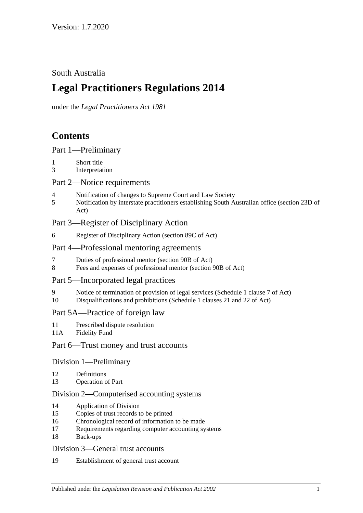## South Australia

# **Legal Practitioners Regulations 2014**

under the *Legal Practitioners Act 1981*

# **Contents**

| Part 1-Preliminary |
|--------------------|
|                    |

- 1 [Short title](#page-2-1)
- 3 [Interpretation](#page-2-2)

## Part [2—Notice requirements](#page-2-3)

- 4 [Notification of changes to Supreme Court and Law Society](#page-2-4)
- 5 [Notification by interstate practitioners establishing South Australian office \(section](#page-3-0) 23D of [Act\)](#page-3-0)

## Part [3—Register of Disciplinary Action](#page-4-0)

6 [Register of Disciplinary Action \(section](#page-4-1) 89C of Act)

## Part [4—Professional mentoring agreements](#page-5-0)

- 7 [Duties of professional mentor \(section 90B of Act\)](#page-5-1)
- 8 [Fees and expenses of professional mentor \(section](#page-5-2) 90B of Act)

## Part [5—Incorporated legal practices](#page-5-3)

- 9 [Notice of termination of provision of legal services \(Schedule](#page-5-4) 1 clause 7 of Act)
- 10 [Disqualifications and prohibitions \(Schedule](#page-5-5) 1 clauses 21 and 22 of Act)

## [Part 5A—Practice of foreign law](#page-7-0)

- 11 [Prescribed dispute resolution](#page-7-1)
- 11A [Fidelity Fund](#page-7-2)

## Part [6—Trust money and trust accounts](#page-7-3)

## Division [1—Preliminary](#page-7-4)

- 12 [Definitions](#page-7-5)
- 13 [Operation of Part](#page-8-0)

## Division [2—Computerised accounting systems](#page-8-1)

- 14 [Application of Division](#page-8-2)
- 15 [Copies of trust records to be printed](#page-8-3)
- 16 [Chronological record of information to be made](#page-9-0)
- 17 [Requirements regarding computer accounting systems](#page-9-1)
- 18 [Back-ups](#page-10-0)

## Division [3—General trust accounts](#page-10-1)

19 [Establishment of general trust account](#page-10-2)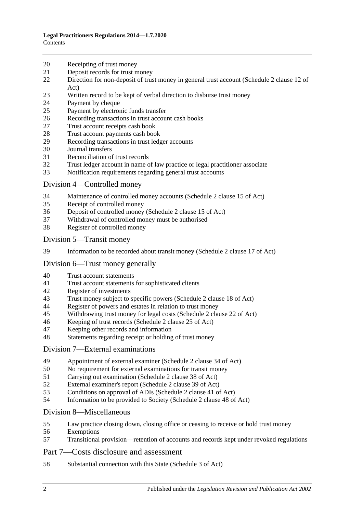- [Receipting of trust money](#page-10-3)
- [Deposit records for trust money](#page-11-0)
- [Direction for non-deposit of trust money in general trust account \(Schedule](#page-12-0) 2 clause 12 of [Act\)](#page-12-0)
- [Written record to be kept of verbal direction to disburse trust money](#page-12-1)
- [Payment by cheque](#page-12-2)
- [Payment by electronic funds transfer](#page-14-0)
- [Recording transactions in trust account cash books](#page-15-0)
- [Trust account receipts cash book](#page-15-1)
- [Trust account payments cash book](#page-16-0)
- [Recording transactions in trust ledger accounts](#page-16-1)
- [Journal transfers](#page-18-0)
- [Reconciliation of trust records](#page-19-0)
- [Trust ledger account in name of law practice or legal practitioner associate](#page-19-1)
- [Notification requirements regarding general trust accounts](#page-20-0)

#### Division [4—Controlled money](#page-20-1)

- [Maintenance of controlled money accounts \(Schedule](#page-20-2) 2 clause 15 of Act)
- [Receipt of controlled money](#page-21-0)
- [Deposit of controlled money \(Schedule](#page-22-0) 2 clause 15 of Act)
- [Withdrawal of controlled money must be authorised](#page-22-1)
- [Register of controlled money](#page-23-0)

#### Division [5—Transit money](#page-24-0)

[Information to be recorded about transit money \(Schedule](#page-24-1) 2 clause 17 of Act)

#### Division [6—Trust money generally](#page-24-2)

- [Trust account statements](#page-24-3)<br>41 Trust account statements
- [Trust account statements for sophisticated clients](#page-25-0)
- [Register of investments](#page-25-1)
- [Trust money subject to specific powers \(Schedule 2 clause 18 of Act\)](#page-26-0)
- [Register of powers and estates in relation to trust money](#page-26-1)
- [Withdrawing trust money for legal costs \(Schedule](#page-26-2) 2 clause 22 of Act)
- [Keeping of trust records \(Schedule](#page-27-0) 2 clause 25 of Act)
- [Keeping other records and information](#page-27-1)
- [Statements regarding receipt or holding of trust money](#page-28-0)

#### Division [7—External examinations](#page-28-1)

- [Appointment of external examiner \(Schedule](#page-28-2) 2 clause 34 of Act)
- [No requirement for external examinations for transit money](#page-29-0)
- [Carrying out examination \(Schedule](#page-29-1) 2 clause 38 of Act)
- [External examiner's report \(Schedule](#page-30-0) 2 clause 39 of Act)
- [Conditions on approval of ADIs \(Schedule](#page-31-0) 2 clause 41 of Act)
- [Information to be provided to Society \(Schedule](#page-31-1) 2 clause 48 of Act)

#### Division [8—Miscellaneous](#page-32-0)

- [Law practice closing down, closing office or ceasing to receive or hold trust money](#page-32-1)
- [Exemptions](#page-32-2)
- [Transitional provision—retention of accounts and records kept under revoked regulations](#page-33-0)

## Part [7—Costs disclosure and assessment](#page-33-1)

[Substantial connection with this State \(Schedule](#page-33-2) 3 of Act)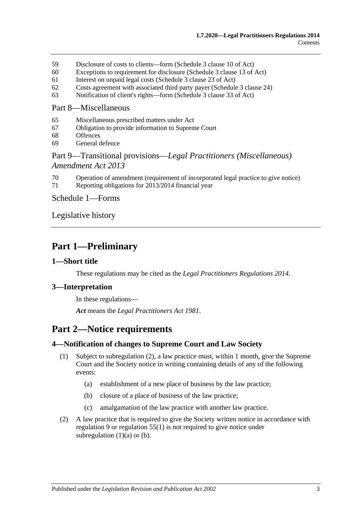- 59 [Disclosure of costs to clients—form \(Schedule](#page-33-3) 3 clause 10 of Act)
- 60 [Exceptions to requirement for disclosure \(Schedule](#page-34-0) 3 clause 13 of Act)
- 61 [Interest on unpaid legal costs \(Schedule](#page-34-1) 3 clause 23 of Act)
- 62 [Costs agreement with associated third party payer \(Schedule](#page-34-2) 3 clause 24)
- 63 [Notification of client's rights—form \(Schedule](#page-34-3) 3 clause 33 of Act)

#### Part [8—Miscellaneous](#page-34-4)

- 65 [Miscellaneous prescribed matters under Act](#page-34-5)
- 67 [Obligation to provide information to Supreme Court](#page-35-0)
- 68 [Offences](#page-35-1)
- 69 [General defence](#page-35-2)

## Part 9—Transitional provisions—*[Legal Practitioners \(Miscellaneous\)](#page-36-0)  [Amendment Act](#page-36-0) 2013*

- 70 [Operation of amendment \(requirement of incorporated legal practice to give notice\)](#page-36-1)
- 71 [Reporting obligations for 2013/2014 financial year](#page-36-2)

Schedule [1—Forms](#page-36-3)

[Legislative history](#page-38-0)

# <span id="page-2-0"></span>**Part 1—Preliminary**

## <span id="page-2-1"></span>**1—Short title**

These regulations may be cited as the *Legal Practitioners Regulations 2014*.

## <span id="page-2-2"></span>**3—Interpretation**

In these regulations—

*Act* means the *[Legal Practitioners Act](http://www.legislation.sa.gov.au/index.aspx?action=legref&type=act&legtitle=Legal%20Practitioners%20Act%201981) 1981*.

# <span id="page-2-3"></span>**Part 2—Notice requirements**

## <span id="page-2-8"></span><span id="page-2-4"></span>**4—Notification of changes to Supreme Court and Law Society**

- <span id="page-2-6"></span>(1) Subject to [subregulation](#page-2-5) (2), a law practice must, within 1 month, give the Supreme Court and the Society notice in writing containing details of any of the following events:
	- (a) establishment of a new place of business by the law practice;
	- (b) closure of a place of business of the law practice;
	- (c) amalgamation of the law practice with another law practice.
- <span id="page-2-7"></span><span id="page-2-5"></span>(2) A law practice that is required to give the Society written notice in accordance with [regulation](#page-5-4) 9 or [regulation](#page-32-3) 55(1) is not required to give notice under [subregulation](#page-2-6)  $(1)(a)$  or  $(b)$ .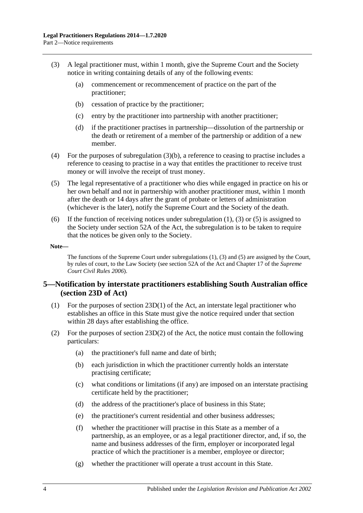- <span id="page-3-2"></span><span id="page-3-1"></span>(3) A legal practitioner must, within 1 month, give the Supreme Court and the Society notice in writing containing details of any of the following events:
	- (a) commencement or recommencement of practice on the part of the practitioner;
	- (b) cessation of practice by the practitioner;
	- (c) entry by the practitioner into partnership with another practitioner;
	- (d) if the practitioner practises in partnership—dissolution of the partnership or the death or retirement of a member of the partnership or addition of a new member.
- (4) For the purposes of [subregulation](#page-3-1) (3)(b), a reference to ceasing to practise includes a reference to ceasing to practise in a way that entitles the practitioner to receive trust money or will involve the receipt of trust money.
- <span id="page-3-3"></span>(5) The legal representative of a practitioner who dies while engaged in practice on his or her own behalf and not in partnership with another practitioner must, within 1 month after the death or 14 days after the grant of probate or letters of administration (whichever is the later), notify the Supreme Court and the Society of the death.
- (6) If the function of receiving notices under [subregulation](#page-2-8) (1), [\(3\)](#page-3-2) or [\(5\)](#page-3-3) is assigned to the Society under section 52A of the Act, the subregulation is to be taken to require that the notices be given only to the Society.

#### **Note—**

The functions of the Supreme Court unde[r subregulations](#page-2-8) (1), [\(3\)](#page-3-2) and [\(5\)](#page-3-3) are assigned by the Court, by rules of court, to the Law Society (see section 52A of the Act and Chapter 17 of the *Supreme Court Civil Rules 2006*).

## <span id="page-3-0"></span>**5—Notification by interstate practitioners establishing South Australian office (section 23D of Act)**

- (1) For the purposes of section 23D(1) of the Act, an interstate legal practitioner who establishes an office in this State must give the notice required under that section within 28 days after establishing the office.
- (2) For the purposes of section  $23D(2)$  of the Act, the notice must contain the following particulars:
	- (a) the practitioner's full name and date of birth;
	- (b) each jurisdiction in which the practitioner currently holds an interstate practising certificate;
	- (c) what conditions or limitations (if any) are imposed on an interstate practising certificate held by the practitioner;
	- (d) the address of the practitioner's place of business in this State;
	- (e) the practitioner's current residential and other business addresses;
	- (f) whether the practitioner will practise in this State as a member of a partnership, as an employee, or as a legal practitioner director, and, if so, the name and business addresses of the firm, employer or incorporated legal practice of which the practitioner is a member, employee or director;
	- (g) whether the practitioner will operate a trust account in this State.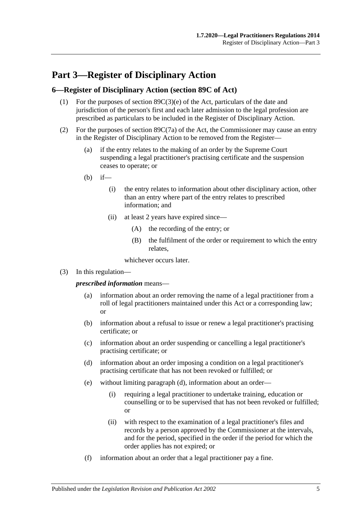# <span id="page-4-0"></span>**Part 3—Register of Disciplinary Action**

### <span id="page-4-1"></span>**6—Register of Disciplinary Action (section 89C of Act)**

- (1) For the purposes of section 89C(3)(e) of the Act, particulars of the date and jurisdiction of the person's first and each later admission to the legal profession are prescribed as particulars to be included in the Register of Disciplinary Action.
- (2) For the purposes of section 89C(7a) of the Act, the Commissioner may cause an entry in the Register of Disciplinary Action to be removed from the Register—
	- (a) if the entry relates to the making of an order by the Supreme Court suspending a legal practitioner's practising certificate and the suspension ceases to operate; or
	- $(h)$  if—
		- (i) the entry relates to information about other disciplinary action, other than an entry where part of the entry relates to prescribed information; and
		- (ii) at least 2 years have expired since—
			- (A) the recording of the entry; or
			- (B) the fulfilment of the order or requirement to which the entry relates,

whichever occurs later.

(3) In this regulation—

*prescribed information* means—

- (a) information about an order removing the name of a legal practitioner from a roll of legal practitioners maintained under this Act or a corresponding law; or
- (b) information about a refusal to issue or renew a legal practitioner's practising certificate; or
- (c) information about an order suspending or cancelling a legal practitioner's practising certificate; or
- <span id="page-4-2"></span>(d) information about an order imposing a condition on a legal practitioner's practising certificate that has not been revoked or fulfilled; or
- (e) without limiting [paragraph](#page-4-2) (d), information about an order—
	- (i) requiring a legal practitioner to undertake training, education or counselling or to be supervised that has not been revoked or fulfilled; or
	- (ii) with respect to the examination of a legal practitioner's files and records by a person approved by the Commissioner at the intervals, and for the period, specified in the order if the period for which the order applies has not expired; or
- (f) information about an order that a legal practitioner pay a fine.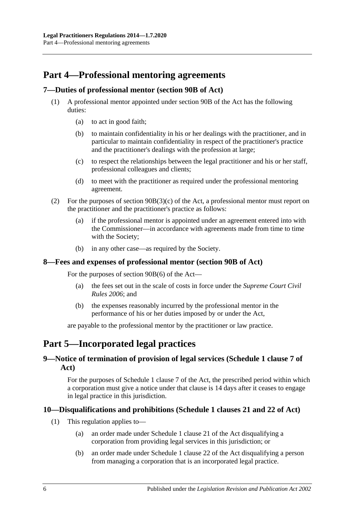# <span id="page-5-0"></span>**Part 4—Professional mentoring agreements**

### <span id="page-5-1"></span>**7—Duties of professional mentor (section 90B of Act)**

- (1) A professional mentor appointed under section 90B of the Act has the following duties:
	- (a) to act in good faith;
	- (b) to maintain confidentiality in his or her dealings with the practitioner, and in particular to maintain confidentiality in respect of the practitioner's practice and the practitioner's dealings with the profession at large;
	- (c) to respect the relationships between the legal practitioner and his or her staff, professional colleagues and clients;
	- (d) to meet with the practitioner as required under the professional mentoring agreement.
- (2) For the purposes of section 90B(3)(c) of the Act, a professional mentor must report on the practitioner and the practitioner's practice as follows:
	- (a) if the professional mentor is appointed under an agreement entered into with the Commissioner—in accordance with agreements made from time to time with the Society;
	- (b) in any other case—as required by the Society.

#### <span id="page-5-2"></span>**8—Fees and expenses of professional mentor (section 90B of Act)**

For the purposes of section 90B(6) of the Act—

- (a) the fees set out in the scale of costs in force under the *Supreme Court Civil Rules 2006*; and
- (b) the expenses reasonably incurred by the professional mentor in the performance of his or her duties imposed by or under the Act,

are payable to the professional mentor by the practitioner or law practice.

# <span id="page-5-3"></span>**Part 5—Incorporated legal practices**

## <span id="page-5-4"></span>**9—Notice of termination of provision of legal services (Schedule 1 clause 7 of Act)**

For the purposes of Schedule 1 clause 7 of the Act, the prescribed period within which a corporation must give a notice under that clause is 14 days after it ceases to engage in legal practice in this jurisdiction.

## <span id="page-5-5"></span>**10—Disqualifications and prohibitions (Schedule 1 clauses 21 and 22 of Act)**

- (1) This regulation applies to—
	- (a) an order made under Schedule 1 clause 21 of the Act disqualifying a corporation from providing legal services in this jurisdiction; or
	- (b) an order made under Schedule 1 clause 22 of the Act disqualifying a person from managing a corporation that is an incorporated legal practice.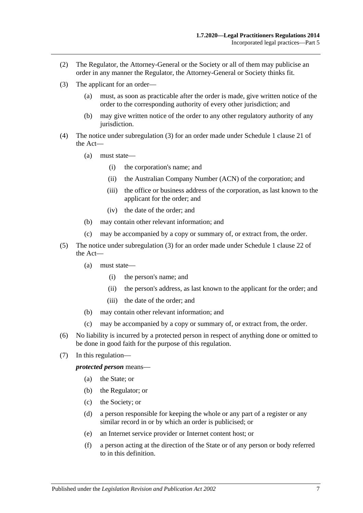- (2) The Regulator, the Attorney-General or the Society or all of them may publicise an order in any manner the Regulator, the Attorney-General or Society thinks fit.
- <span id="page-6-0"></span>(3) The applicant for an order—
	- (a) must, as soon as practicable after the order is made, give written notice of the order to the corresponding authority of every other jurisdiction; and
	- (b) may give written notice of the order to any other regulatory authority of any jurisdiction.
- (4) The notice under [subregulation](#page-6-0) (3) for an order made under Schedule 1 clause 21 of the Act—
	- (a) must state—
		- (i) the corporation's name; and
		- (ii) the Australian Company Number (ACN) of the corporation; and
		- (iii) the office or business address of the corporation, as last known to the applicant for the order; and
		- (iv) the date of the order; and
	- (b) may contain other relevant information; and
	- (c) may be accompanied by a copy or summary of, or extract from, the order.
- (5) The notice under [subregulation](#page-6-0) (3) for an order made under Schedule 1 clause 22 of the Act—
	- (a) must state—
		- (i) the person's name; and
		- (ii) the person's address, as last known to the applicant for the order; and
		- (iii) the date of the order; and
	- (b) may contain other relevant information; and
	- (c) may be accompanied by a copy or summary of, or extract from, the order.
- (6) No liability is incurred by a protected person in respect of anything done or omitted to be done in good faith for the purpose of this regulation.
- (7) In this regulation—

*protected person* means—

- (a) the State; or
- (b) the Regulator; or
- (c) the Society; or
- (d) a person responsible for keeping the whole or any part of a register or any similar record in or by which an order is publicised; or
- (e) an Internet service provider or Internet content host; or
- (f) a person acting at the direction of the State or of any person or body referred to in this definition.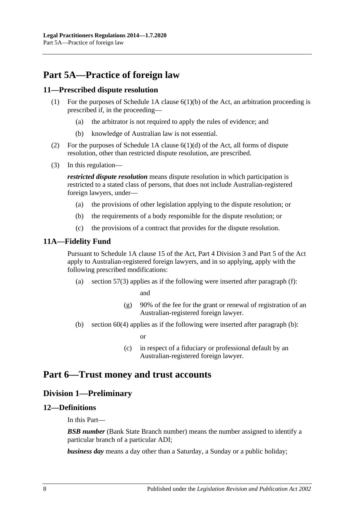# <span id="page-7-0"></span>**Part 5A—Practice of foreign law**

#### <span id="page-7-1"></span>**11—Prescribed dispute resolution**

- (1) For the purposes of Schedule 1A clause  $6(1)(b)$  of the Act, an arbitration proceeding is prescribed if, in the proceeding—
	- (a) the arbitrator is not required to apply the rules of evidence; and
	- (b) knowledge of Australian law is not essential.
- (2) For the purposes of Schedule 1A clause  $6(1)(d)$  of the Act, all forms of dispute resolution, other than restricted dispute resolution, are prescribed.
- (3) In this regulation—

*restricted dispute resolution* means dispute resolution in which participation is restricted to a stated class of persons, that does not include Australian-registered foreign lawyers, under—

- (a) the provisions of other legislation applying to the dispute resolution; or
- (b) the requirements of a body responsible for the dispute resolution; or
- (c) the provisions of a contract that provides for the dispute resolution.

#### <span id="page-7-2"></span>**11A—Fidelity Fund**

Pursuant to Schedule 1A clause 15 of the Act, Part 4 Division 3 and Part 5 of the Act apply to Australian-registered foreign lawyers, and in so applying, apply with the following prescribed modifications:

(a) section  $57(3)$  applies as if the following were inserted after paragraph (f):

and

- (g) 90% of the fee for the grant or renewal of registration of an Australian-registered foreign lawyer.
- (b) section 60(4) applies as if the following were inserted after paragraph (b):

or

(c) in respect of a fiduciary or professional default by an Australian-registered foreign lawyer.

# <span id="page-7-4"></span><span id="page-7-3"></span>**Part 6—Trust money and trust accounts**

## **Division 1—Preliminary**

## <span id="page-7-5"></span>**12—Definitions**

In this Part—

**BSB number** (Bank State Branch number) means the number assigned to identify a particular branch of a particular ADI;

*business day* means a day other than a Saturday, a Sunday or a public holiday;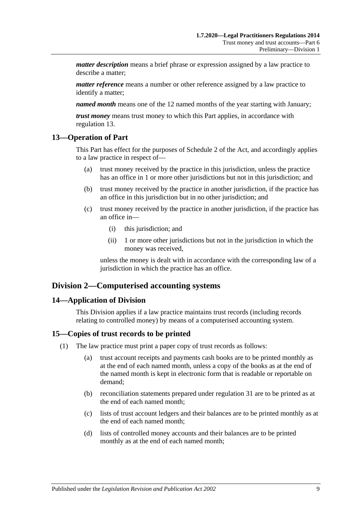*matter description* means a brief phrase or expression assigned by a law practice to describe a matter;

*matter reference* means a number or other reference assigned by a law practice to identify a matter;

*named month* means one of the 12 named months of the year starting with January;

*trust money* means trust money to which this Part applies, in accordance with [regulation](#page-8-0) 13.

#### <span id="page-8-0"></span>**13—Operation of Part**

This Part has effect for the purposes of Schedule 2 of the Act, and accordingly applies to a law practice in respect of—

- (a) trust money received by the practice in this jurisdiction, unless the practice has an office in 1 or more other jurisdictions but not in this jurisdiction; and
- (b) trust money received by the practice in another jurisdiction, if the practice has an office in this jurisdiction but in no other jurisdiction; and
- (c) trust money received by the practice in another jurisdiction, if the practice has an office in—
	- (i) this jurisdiction; and
	- (ii) 1 or more other jurisdictions but not in the jurisdiction in which the money was received,

unless the money is dealt with in accordance with the corresponding law of a jurisdiction in which the practice has an office.

## <span id="page-8-1"></span>**Division 2—Computerised accounting systems**

## <span id="page-8-2"></span>**14—Application of Division**

This Division applies if a law practice maintains trust records (including records relating to controlled money) by means of a computerised accounting system.

## <span id="page-8-6"></span><span id="page-8-3"></span>**15—Copies of trust records to be printed**

- <span id="page-8-5"></span><span id="page-8-4"></span>(1) The law practice must print a paper copy of trust records as follows:
	- (a) trust account receipts and payments cash books are to be printed monthly as at the end of each named month, unless a copy of the books as at the end of the named month is kept in electronic form that is readable or reportable on demand;
	- (b) reconciliation statements prepared under [regulation](#page-19-0) 31 are to be printed as at the end of each named month;
	- (c) lists of trust account ledgers and their balances are to be printed monthly as at the end of each named month;
	- (d) lists of controlled money accounts and their balances are to be printed monthly as at the end of each named month;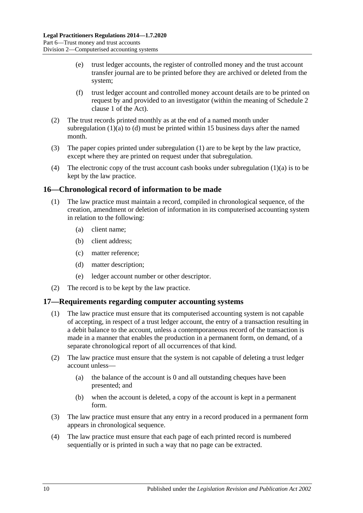- (e) trust ledger accounts, the register of controlled money and the trust account transfer journal are to be printed before they are archived or deleted from the system;
- (f) trust ledger account and controlled money account details are to be printed on request by and provided to an investigator (within the meaning of Schedule 2 clause 1 of the Act).
- (2) The trust records printed monthly as at the end of a named month under [subregulation](#page-8-4)  $(1)(a)$  to  $(d)$  must be printed within 15 business days after the named month.
- (3) The paper copies printed under [subregulation](#page-8-6) (1) are to be kept by the law practice, except where they are printed on request under that subregulation.
- (4) The electronic copy of the trust account cash books under [subregulation](#page-8-4) (1)(a) is to be kept by the law practice.

## <span id="page-9-0"></span>**16—Chronological record of information to be made**

- (1) The law practice must maintain a record, compiled in chronological sequence, of the creation, amendment or deletion of information in its computerised accounting system in relation to the following:
	- (a) client name;
	- (b) client address;
	- (c) matter reference;
	- (d) matter description;
	- (e) ledger account number or other descriptor.
- (2) The record is to be kept by the law practice.

## <span id="page-9-1"></span>**17—Requirements regarding computer accounting systems**

- (1) The law practice must ensure that its computerised accounting system is not capable of accepting, in respect of a trust ledger account, the entry of a transaction resulting in a debit balance to the account, unless a contemporaneous record of the transaction is made in a manner that enables the production in a permanent form, on demand, of a separate chronological report of all occurrences of that kind.
- (2) The law practice must ensure that the system is not capable of deleting a trust ledger account unless—
	- (a) the balance of the account is 0 and all outstanding cheques have been presented; and
	- (b) when the account is deleted, a copy of the account is kept in a permanent form.
- (3) The law practice must ensure that any entry in a record produced in a permanent form appears in chronological sequence.
- (4) The law practice must ensure that each page of each printed record is numbered sequentially or is printed in such a way that no page can be extracted.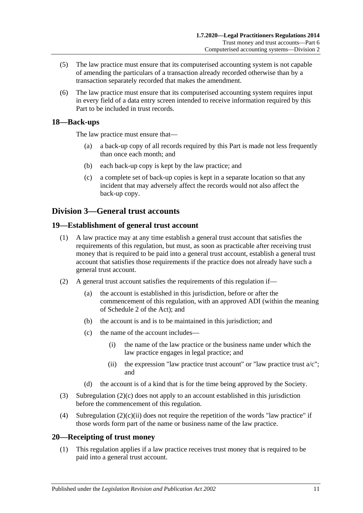- (5) The law practice must ensure that its computerised accounting system is not capable of amending the particulars of a transaction already recorded otherwise than by a transaction separately recorded that makes the amendment.
- (6) The law practice must ensure that its computerised accounting system requires input in every field of a data entry screen intended to receive information required by this Part to be included in trust records.

## <span id="page-10-0"></span>**18—Back-ups**

The law practice must ensure that—

- (a) a back-up copy of all records required by this Part is made not less frequently than once each month; and
- (b) each back-up copy is kept by the law practice; and
- (c) a complete set of back-up copies is kept in a separate location so that any incident that may adversely affect the records would not also affect the back-up copy.

## <span id="page-10-1"></span>**Division 3—General trust accounts**

## <span id="page-10-2"></span>**19—Establishment of general trust account**

- (1) A law practice may at any time establish a general trust account that satisfies the requirements of this regulation, but must, as soon as practicable after receiving trust money that is required to be paid into a general trust account, establish a general trust account that satisfies those requirements if the practice does not already have such a general trust account.
- <span id="page-10-4"></span>(2) A general trust account satisfies the requirements of this regulation if—
	- (a) the account is established in this jurisdiction, before or after the commencement of this regulation, with an approved ADI (within the meaning of Schedule 2 of the Act); and
	- (b) the account is and is to be maintained in this jurisdiction; and
	- (c) the name of the account includes—
		- (i) the name of the law practice or the business name under which the law practice engages in legal practice; and
		- (ii) the expression "law practice trust account" or "law practice trust  $a/c$ "; and
	- (d) the account is of a kind that is for the time being approved by the Society.
- <span id="page-10-5"></span>(3) [Subregulation](#page-10-4) (2)(c) does not apply to an account established in this jurisdiction before the commencement of this regulation.
- (4) [Subregulation](#page-10-5)  $(2)(c)(ii)$  does not require the repetition of the words "law practice" if those words form part of the name or business name of the law practice.

## <span id="page-10-3"></span>**20—Receipting of trust money**

(1) This regulation applies if a law practice receives trust money that is required to be paid into a general trust account.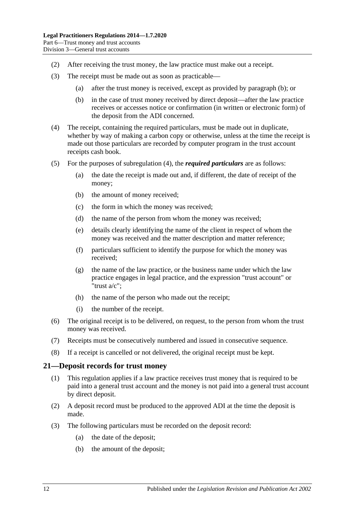- (2) After receiving the trust money, the law practice must make out a receipt.
- <span id="page-11-1"></span>(3) The receipt must be made out as soon as practicable—
	- (a) after the trust money is received, except as provided by [paragraph](#page-11-1) (b); or
	- (b) in the case of trust money received by direct deposit—after the law practice receives or accesses notice or confirmation (in written or electronic form) of the deposit from the ADI concerned.
- <span id="page-11-2"></span>(4) The receipt, containing the required particulars, must be made out in duplicate, whether by way of making a carbon copy or otherwise, unless at the time the receipt is made out those particulars are recorded by computer program in the trust account receipts cash book.
- (5) For the purposes of [subregulation](#page-11-2) (4), the *required particulars* are as follows:
	- (a) the date the receipt is made out and, if different, the date of receipt of the money;
	- (b) the amount of money received;
	- (c) the form in which the money was received;
	- (d) the name of the person from whom the money was received;
	- (e) details clearly identifying the name of the client in respect of whom the money was received and the matter description and matter reference;
	- (f) particulars sufficient to identify the purpose for which the money was received;
	- (g) the name of the law practice, or the business name under which the law practice engages in legal practice, and the expression "trust account" or "trust a/c";
	- (h) the name of the person who made out the receipt;
	- (i) the number of the receipt.
- (6) The original receipt is to be delivered, on request, to the person from whom the trust money was received.
- (7) Receipts must be consecutively numbered and issued in consecutive sequence.
- (8) If a receipt is cancelled or not delivered, the original receipt must be kept.

#### <span id="page-11-0"></span>**21—Deposit records for trust money**

- (1) This regulation applies if a law practice receives trust money that is required to be paid into a general trust account and the money is not paid into a general trust account by direct deposit.
- (2) A deposit record must be produced to the approved ADI at the time the deposit is made.
- (3) The following particulars must be recorded on the deposit record:
	- (a) the date of the deposit;
	- (b) the amount of the deposit;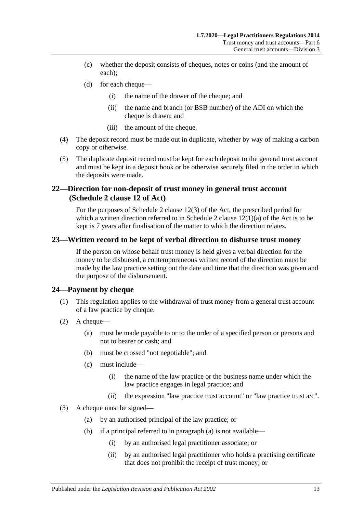- (c) whether the deposit consists of cheques, notes or coins (and the amount of each);
- (d) for each cheque—
	- (i) the name of the drawer of the cheque; and
	- (ii) the name and branch (or BSB number) of the ADI on which the cheque is drawn; and
	- (iii) the amount of the cheque.
- (4) The deposit record must be made out in duplicate, whether by way of making a carbon copy or otherwise.
- (5) The duplicate deposit record must be kept for each deposit to the general trust account and must be kept in a deposit book or be otherwise securely filed in the order in which the deposits were made.

## <span id="page-12-0"></span>**22—Direction for non-deposit of trust money in general trust account (Schedule 2 clause 12 of Act)**

For the purposes of Schedule 2 clause 12(3) of the Act, the prescribed period for which a written direction referred to in Schedule 2 clause  $12(1)(a)$  of the Act is to be kept is 7 years after finalisation of the matter to which the direction relates.

## <span id="page-12-1"></span>**23—Written record to be kept of verbal direction to disburse trust money**

If the person on whose behalf trust money is held gives a verbal direction for the money to be disbursed, a contemporaneous written record of the direction must be made by the law practice setting out the date and time that the direction was given and the purpose of the disbursement.

#### <span id="page-12-2"></span>**24—Payment by cheque**

- (1) This regulation applies to the withdrawal of trust money from a general trust account of a law practice by cheque.
- <span id="page-12-5"></span>(2) A cheque—
	- (a) must be made payable to or to the order of a specified person or persons and not to bearer or cash; and
	- (b) must be crossed "not negotiable"; and
	- (c) must include—
		- (i) the name of the law practice or the business name under which the law practice engages in legal practice; and
		- (ii) the expression "law practice trust account" or "law practice trust  $a/c$ ".
- <span id="page-12-6"></span><span id="page-12-4"></span><span id="page-12-3"></span>(3) A cheque must be signed—
	- (a) by an authorised principal of the law practice; or
	- (b) if a principal referred to in [paragraph](#page-12-3) (a) is not available—
		- (i) by an authorised legal practitioner associate; or
		- (ii) by an authorised legal practitioner who holds a practising certificate that does not prohibit the receipt of trust money; or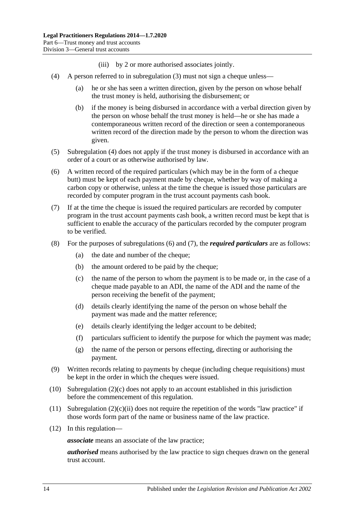- (iii) by 2 or more authorised associates jointly.
- <span id="page-13-0"></span>(4) A person referred to in [subregulation](#page-12-4) (3) must not sign a cheque unless—
	- (a) he or she has seen a written direction, given by the person on whose behalf the trust money is held, authorising the disbursement; or
	- (b) if the money is being disbursed in accordance with a verbal direction given by the person on whose behalf the trust money is held—he or she has made a contemporaneous written record of the direction or seen a contemporaneous written record of the direction made by the person to whom the direction was given.
- (5) [Subregulation](#page-13-0) (4) does not apply if the trust money is disbursed in accordance with an order of a court or as otherwise authorised by law.
- <span id="page-13-1"></span>(6) A written record of the required particulars (which may be in the form of a cheque butt) must be kept of each payment made by cheque, whether by way of making a carbon copy or otherwise, unless at the time the cheque is issued those particulars are recorded by computer program in the trust account payments cash book.
- <span id="page-13-2"></span>(7) If at the time the cheque is issued the required particulars are recorded by computer program in the trust account payments cash book, a written record must be kept that is sufficient to enable the accuracy of the particulars recorded by the computer program to be verified.
- (8) For the purposes of [subregulations](#page-13-1) (6) and [\(7\),](#page-13-2) the *required particulars* are as follows:
	- (a) the date and number of the cheque;
	- (b) the amount ordered to be paid by the cheque;
	- (c) the name of the person to whom the payment is to be made or, in the case of a cheque made payable to an ADI, the name of the ADI and the name of the person receiving the benefit of the payment;
	- (d) details clearly identifying the name of the person on whose behalf the payment was made and the matter reference;
	- (e) details clearly identifying the ledger account to be debited;
	- (f) particulars sufficient to identify the purpose for which the payment was made;
	- (g) the name of the person or persons effecting, directing or authorising the payment.
- (9) Written records relating to payments by cheque (including cheque requisitions) must be kept in the order in which the cheques were issued.
- (10) [Subregulation](#page-12-5) (2)(c) does not apply to an account established in this jurisdiction before the commencement of this regulation.
- (11) [Subregulation](#page-12-6)  $(2)(c)(ii)$  does not require the repetition of the words "law practice" if those words form part of the name or business name of the law practice.
- (12) In this regulation—

*associate* means an associate of the law practice;

*authorised* means authorised by the law practice to sign cheques drawn on the general trust account.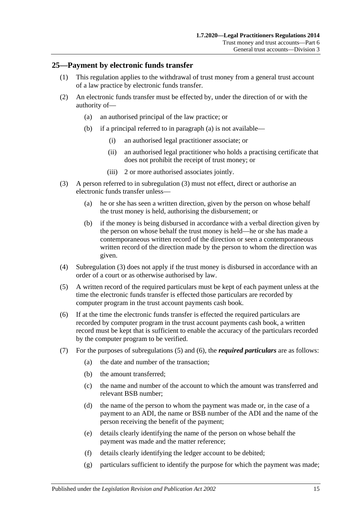### <span id="page-14-0"></span>**25—Payment by electronic funds transfer**

- (1) This regulation applies to the withdrawal of trust money from a general trust account of a law practice by electronic funds transfer.
- <span id="page-14-1"></span>(2) An electronic funds transfer must be effected by, under the direction of or with the authority of—
	- (a) an authorised principal of the law practice; or
	- (b) if a principal referred to in [paragraph](#page-14-1) (a) is not available—
		- (i) an authorised legal practitioner associate; or
		- (ii) an authorised legal practitioner who holds a practising certificate that does not prohibit the receipt of trust money; or
		- (iii) 2 or more authorised associates jointly.
- <span id="page-14-2"></span>(3) A person referred to in [subregulation](#page-12-4) (3) must not effect, direct or authorise an electronic funds transfer unless—
	- (a) he or she has seen a written direction, given by the person on whose behalf the trust money is held, authorising the disbursement; or
	- (b) if the money is being disbursed in accordance with a verbal direction given by the person on whose behalf the trust money is held—he or she has made a contemporaneous written record of the direction or seen a contemporaneous written record of the direction made by the person to whom the direction was given.
- (4) [Subregulation](#page-14-2) (3) does not apply if the trust money is disbursed in accordance with an order of a court or as otherwise authorised by law.
- <span id="page-14-3"></span>(5) A written record of the required particulars must be kept of each payment unless at the time the electronic funds transfer is effected those particulars are recorded by computer program in the trust account payments cash book.
- <span id="page-14-4"></span>(6) If at the time the electronic funds transfer is effected the required particulars are recorded by computer program in the trust account payments cash book, a written record must be kept that is sufficient to enable the accuracy of the particulars recorded by the computer program to be verified.
- (7) For the purposes of [subregulations](#page-14-3) (5) and [\(6\),](#page-14-4) the *required particulars* are as follows:
	- (a) the date and number of the transaction;
	- (b) the amount transferred;
	- (c) the name and number of the account to which the amount was transferred and relevant BSB number;
	- (d) the name of the person to whom the payment was made or, in the case of a payment to an ADI, the name or BSB number of the ADI and the name of the person receiving the benefit of the payment;
	- (e) details clearly identifying the name of the person on whose behalf the payment was made and the matter reference;
	- (f) details clearly identifying the ledger account to be debited;
	- (g) particulars sufficient to identify the purpose for which the payment was made;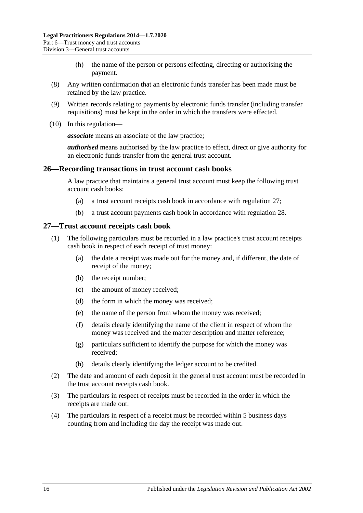- (h) the name of the person or persons effecting, directing or authorising the payment.
- (8) Any written confirmation that an electronic funds transfer has been made must be retained by the law practice.
- (9) Written records relating to payments by electronic funds transfer (including transfer requisitions) must be kept in the order in which the transfers were effected.
- (10) In this regulation—

*associate* means an associate of the law practice;

*authorised* means authorised by the law practice to effect, direct or give authority for an electronic funds transfer from the general trust account.

#### <span id="page-15-0"></span>**26—Recording transactions in trust account cash books**

A law practice that maintains a general trust account must keep the following trust account cash books:

- (a) a trust account receipts cash book in accordance with [regulation](#page-15-1) 27;
- (b) a trust account payments cash book in accordance with [regulation](#page-16-0) 28.

## <span id="page-15-1"></span>**27—Trust account receipts cash book**

- (1) The following particulars must be recorded in a law practice's trust account receipts cash book in respect of each receipt of trust money:
	- (a) the date a receipt was made out for the money and, if different, the date of receipt of the money;
	- (b) the receipt number;
	- (c) the amount of money received;
	- (d) the form in which the money was received;
	- (e) the name of the person from whom the money was received;
	- (f) details clearly identifying the name of the client in respect of whom the money was received and the matter description and matter reference;
	- (g) particulars sufficient to identify the purpose for which the money was received;
	- (h) details clearly identifying the ledger account to be credited.
- (2) The date and amount of each deposit in the general trust account must be recorded in the trust account receipts cash book.
- (3) The particulars in respect of receipts must be recorded in the order in which the receipts are made out.
- (4) The particulars in respect of a receipt must be recorded within 5 business days counting from and including the day the receipt was made out.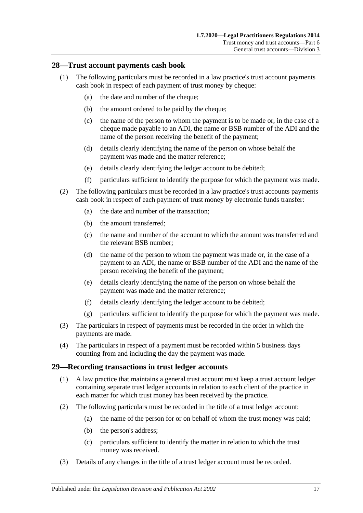#### <span id="page-16-0"></span>**28—Trust account payments cash book**

- (1) The following particulars must be recorded in a law practice's trust account payments cash book in respect of each payment of trust money by cheque:
	- (a) the date and number of the cheque;
	- (b) the amount ordered to be paid by the cheque;
	- (c) the name of the person to whom the payment is to be made or, in the case of a cheque made payable to an ADI, the name or BSB number of the ADI and the name of the person receiving the benefit of the payment;
	- (d) details clearly identifying the name of the person on whose behalf the payment was made and the matter reference;
	- (e) details clearly identifying the ledger account to be debited;
	- (f) particulars sufficient to identify the purpose for which the payment was made.
- (2) The following particulars must be recorded in a law practice's trust accounts payments cash book in respect of each payment of trust money by electronic funds transfer:
	- (a) the date and number of the transaction;
	- (b) the amount transferred;
	- (c) the name and number of the account to which the amount was transferred and the relevant BSB number;
	- (d) the name of the person to whom the payment was made or, in the case of a payment to an ADI, the name or BSB number of the ADI and the name of the person receiving the benefit of the payment;
	- (e) details clearly identifying the name of the person on whose behalf the payment was made and the matter reference;
	- (f) details clearly identifying the ledger account to be debited;
	- (g) particulars sufficient to identify the purpose for which the payment was made.
- (3) The particulars in respect of payments must be recorded in the order in which the payments are made.
- (4) The particulars in respect of a payment must be recorded within 5 business days counting from and including the day the payment was made.

#### <span id="page-16-1"></span>**29—Recording transactions in trust ledger accounts**

- (1) A law practice that maintains a general trust account must keep a trust account ledger containing separate trust ledger accounts in relation to each client of the practice in each matter for which trust money has been received by the practice.
- (2) The following particulars must be recorded in the title of a trust ledger account:
	- (a) the name of the person for or on behalf of whom the trust money was paid;
	- (b) the person's address;
	- (c) particulars sufficient to identify the matter in relation to which the trust money was received.
- (3) Details of any changes in the title of a trust ledger account must be recorded.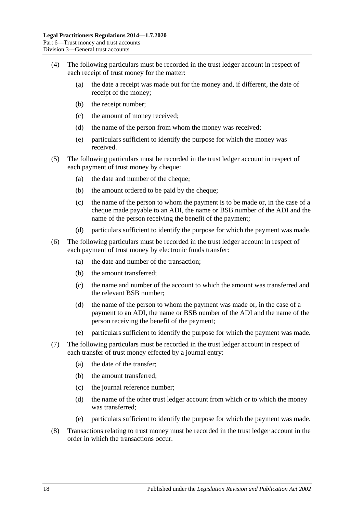- (4) The following particulars must be recorded in the trust ledger account in respect of each receipt of trust money for the matter:
	- (a) the date a receipt was made out for the money and, if different, the date of receipt of the money;
	- (b) the receipt number;
	- (c) the amount of money received;
	- (d) the name of the person from whom the money was received;
	- (e) particulars sufficient to identify the purpose for which the money was received.
- (5) The following particulars must be recorded in the trust ledger account in respect of each payment of trust money by cheque:
	- (a) the date and number of the cheque;
	- (b) the amount ordered to be paid by the cheque;
	- (c) the name of the person to whom the payment is to be made or, in the case of a cheque made payable to an ADI, the name or BSB number of the ADI and the name of the person receiving the benefit of the payment;
	- (d) particulars sufficient to identify the purpose for which the payment was made.
- (6) The following particulars must be recorded in the trust ledger account in respect of each payment of trust money by electronic funds transfer:
	- (a) the date and number of the transaction;
	- (b) the amount transferred;
	- (c) the name and number of the account to which the amount was transferred and the relevant BSB number;
	- (d) the name of the person to whom the payment was made or, in the case of a payment to an ADI, the name or BSB number of the ADI and the name of the person receiving the benefit of the payment;
	- (e) particulars sufficient to identify the purpose for which the payment was made.
- (7) The following particulars must be recorded in the trust ledger account in respect of each transfer of trust money effected by a journal entry:
	- (a) the date of the transfer;
	- (b) the amount transferred;
	- (c) the journal reference number;
	- (d) the name of the other trust ledger account from which or to which the money was transferred;
	- (e) particulars sufficient to identify the purpose for which the payment was made.
- (8) Transactions relating to trust money must be recorded in the trust ledger account in the order in which the transactions occur.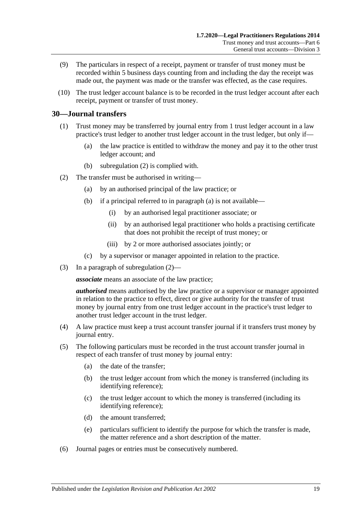- (9) The particulars in respect of a receipt, payment or transfer of trust money must be recorded within 5 business days counting from and including the day the receipt was made out, the payment was made or the transfer was effected, as the case requires.
- (10) The trust ledger account balance is to be recorded in the trust ledger account after each receipt, payment or transfer of trust money.

### <span id="page-18-0"></span>**30—Journal transfers**

- (1) Trust money may be transferred by journal entry from 1 trust ledger account in a law practice's trust ledger to another trust ledger account in the trust ledger, but only if—
	- (a) the law practice is entitled to withdraw the money and pay it to the other trust ledger account; and
	- (b) [subregulation](#page-18-1) (2) is complied with.
- <span id="page-18-2"></span><span id="page-18-1"></span>(2) The transfer must be authorised in writing—
	- (a) by an authorised principal of the law practice; or
	- (b) if a principal referred to in [paragraph](#page-18-2) (a) is not available—
		- (i) by an authorised legal practitioner associate; or
		- (ii) by an authorised legal practitioner who holds a practising certificate that does not prohibit the receipt of trust money; or
		- (iii) by 2 or more authorised associates jointly; or
	- (c) by a supervisor or manager appointed in relation to the practice.
- (3) In a paragraph of [subregulation](#page-18-1) (2)—

*associate* means an associate of the law practice;

*authorised* means authorised by the law practice or a supervisor or manager appointed in relation to the practice to effect, direct or give authority for the transfer of trust money by journal entry from one trust ledger account in the practice's trust ledger to another trust ledger account in the trust ledger.

- (4) A law practice must keep a trust account transfer journal if it transfers trust money by journal entry.
- (5) The following particulars must be recorded in the trust account transfer journal in respect of each transfer of trust money by journal entry:
	- (a) the date of the transfer;
	- (b) the trust ledger account from which the money is transferred (including its identifying reference);
	- (c) the trust ledger account to which the money is transferred (including its identifying reference);
	- (d) the amount transferred;
	- (e) particulars sufficient to identify the purpose for which the transfer is made, the matter reference and a short description of the matter.
- (6) Journal pages or entries must be consecutively numbered.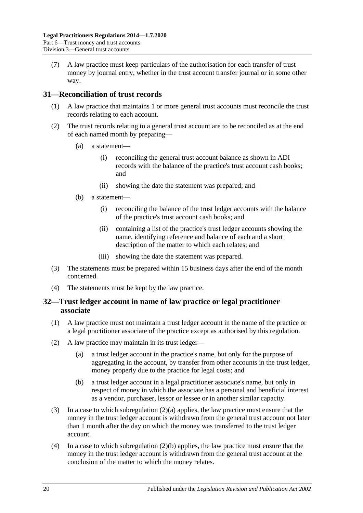(7) A law practice must keep particulars of the authorisation for each transfer of trust money by journal entry, whether in the trust account transfer journal or in some other way.

## <span id="page-19-0"></span>**31—Reconciliation of trust records**

- (1) A law practice that maintains 1 or more general trust accounts must reconcile the trust records relating to each account.
- (2) The trust records relating to a general trust account are to be reconciled as at the end of each named month by preparing—
	- (a) a statement—
		- (i) reconciling the general trust account balance as shown in ADI records with the balance of the practice's trust account cash books; and
		- (ii) showing the date the statement was prepared; and
	- (b) a statement—
		- (i) reconciling the balance of the trust ledger accounts with the balance of the practice's trust account cash books; and
		- (ii) containing a list of the practice's trust ledger accounts showing the name, identifying reference and balance of each and a short description of the matter to which each relates; and
		- (iii) showing the date the statement was prepared.
- (3) The statements must be prepared within 15 business days after the end of the month concerned.
- (4) The statements must be kept by the law practice.

## <span id="page-19-1"></span>**32—Trust ledger account in name of law practice or legal practitioner associate**

- (1) A law practice must not maintain a trust ledger account in the name of the practice or a legal practitioner associate of the practice except as authorised by this regulation.
- <span id="page-19-2"></span>(2) A law practice may maintain in its trust ledger—
	- (a) a trust ledger account in the practice's name, but only for the purpose of aggregating in the account, by transfer from other accounts in the trust ledger, money properly due to the practice for legal costs; and
	- (b) a trust ledger account in a legal practitioner associate's name, but only in respect of money in which the associate has a personal and beneficial interest as a vendor, purchaser, lessor or lessee or in another similar capacity.
- <span id="page-19-3"></span>(3) In a case to which [subregulation](#page-19-2) (2)(a) applies, the law practice must ensure that the money in the trust ledger account is withdrawn from the general trust account not later than 1 month after the day on which the money was transferred to the trust ledger account.
- (4) In a case to which [subregulation](#page-19-3) (2)(b) applies, the law practice must ensure that the money in the trust ledger account is withdrawn from the general trust account at the conclusion of the matter to which the money relates.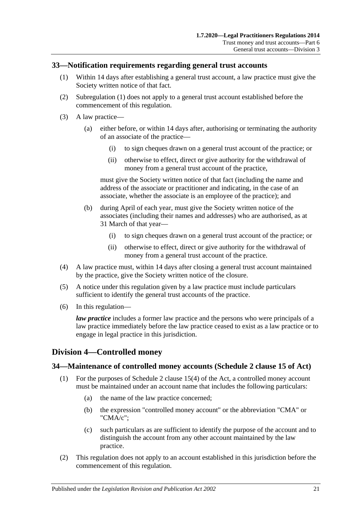#### <span id="page-20-3"></span><span id="page-20-0"></span>**33—Notification requirements regarding general trust accounts**

- (1) Within 14 days after establishing a general trust account, a law practice must give the Society written notice of that fact.
- (2) [Subregulation](#page-20-3) (1) does not apply to a general trust account established before the commencement of this regulation.
- (3) A law practice—
	- (a) either before, or within 14 days after, authorising or terminating the authority of an associate of the practice—
		- (i) to sign cheques drawn on a general trust account of the practice; or
		- (ii) otherwise to effect, direct or give authority for the withdrawal of money from a general trust account of the practice,

must give the Society written notice of that fact (including the name and address of the associate or practitioner and indicating, in the case of an associate, whether the associate is an employee of the practice); and

- (b) during April of each year, must give the Society written notice of the associates (including their names and addresses) who are authorised, as at 31 March of that year—
	- (i) to sign cheques drawn on a general trust account of the practice; or
	- (ii) otherwise to effect, direct or give authority for the withdrawal of money from a general trust account of the practice.
- (4) A law practice must, within 14 days after closing a general trust account maintained by the practice, give the Society written notice of the closure.
- (5) A notice under this regulation given by a law practice must include particulars sufficient to identify the general trust accounts of the practice.
- (6) In this regulation—

*law practice* includes a former law practice and the persons who were principals of a law practice immediately before the law practice ceased to exist as a law practice or to engage in legal practice in this jurisdiction.

## <span id="page-20-1"></span>**Division 4—Controlled money**

## <span id="page-20-2"></span>**34—Maintenance of controlled money accounts (Schedule 2 clause 15 of Act)**

- (1) For the purposes of Schedule 2 clause 15(4) of the Act, a controlled money account must be maintained under an account name that includes the following particulars:
	- (a) the name of the law practice concerned;
	- (b) the expression "controlled money account" or the abbreviation "CMA" or "CMA/c";
	- (c) such particulars as are sufficient to identify the purpose of the account and to distinguish the account from any other account maintained by the law practice.
- (2) This regulation does not apply to an account established in this jurisdiction before the commencement of this regulation.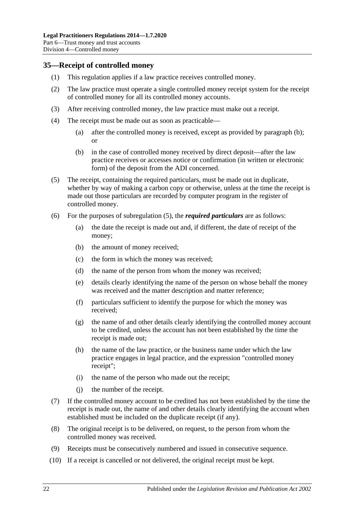### <span id="page-21-0"></span>**35—Receipt of controlled money**

- (1) This regulation applies if a law practice receives controlled money.
- (2) The law practice must operate a single controlled money receipt system for the receipt of controlled money for all its controlled money accounts.
- (3) After receiving controlled money, the law practice must make out a receipt.
- <span id="page-21-1"></span>(4) The receipt must be made out as soon as practicable—
	- (a) after the controlled money is received, except as provided by [paragraph](#page-21-1) (b); or
	- (b) in the case of controlled money received by direct deposit—after the law practice receives or accesses notice or confirmation (in written or electronic form) of the deposit from the ADI concerned.
- <span id="page-21-2"></span>(5) The receipt, containing the required particulars, must be made out in duplicate, whether by way of making a carbon copy or otherwise, unless at the time the receipt is made out those particulars are recorded by computer program in the register of controlled money.
- (6) For the purposes of [subregulation](#page-21-2) (5), the *required particulars* are as follows:
	- (a) the date the receipt is made out and, if different, the date of receipt of the money;
	- (b) the amount of money received;
	- (c) the form in which the money was received;
	- (d) the name of the person from whom the money was received;
	- (e) details clearly identifying the name of the person on whose behalf the money was received and the matter description and matter reference;
	- (f) particulars sufficient to identify the purpose for which the money was received;
	- (g) the name of and other details clearly identifying the controlled money account to be credited, unless the account has not been established by the time the receipt is made out;
	- (h) the name of the law practice, or the business name under which the law practice engages in legal practice, and the expression "controlled money receipt";
	- (i) the name of the person who made out the receipt;
	- (j) the number of the receipt.
- (7) If the controlled money account to be credited has not been established by the time the receipt is made out, the name of and other details clearly identifying the account when established must be included on the duplicate receipt (if any).
- (8) The original receipt is to be delivered, on request, to the person from whom the controlled money was received.
- (9) Receipts must be consecutively numbered and issued in consecutive sequence.
- (10) If a receipt is cancelled or not delivered, the original receipt must be kept.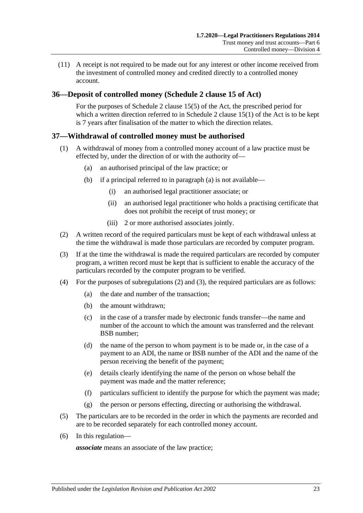(11) A receipt is not required to be made out for any interest or other income received from the investment of controlled money and credited directly to a controlled money account.

## <span id="page-22-0"></span>**36—Deposit of controlled money (Schedule 2 clause 15 of Act)**

For the purposes of Schedule 2 clause 15(5) of the Act, the prescribed period for which a written direction referred to in Schedule 2 clause  $15(1)$  of the Act is to be kept is 7 years after finalisation of the matter to which the direction relates.

## <span id="page-22-1"></span>**37—Withdrawal of controlled money must be authorised**

- <span id="page-22-2"></span>(1) A withdrawal of money from a controlled money account of a law practice must be effected by, under the direction of or with the authority of—
	- (a) an authorised principal of the law practice; or
	- (b) if a principal referred to in [paragraph](#page-22-2) (a) is not available—
		- (i) an authorised legal practitioner associate; or
		- (ii) an authorised legal practitioner who holds a practising certificate that does not prohibit the receipt of trust money; or
		- (iii) 2 or more authorised associates jointly.
- <span id="page-22-3"></span>(2) A written record of the required particulars must be kept of each withdrawal unless at the time the withdrawal is made those particulars are recorded by computer program.
- <span id="page-22-4"></span>(3) If at the time the withdrawal is made the required particulars are recorded by computer program, a written record must be kept that is sufficient to enable the accuracy of the particulars recorded by the computer program to be verified.
- <span id="page-22-5"></span>(4) For the purposes of [subregulations](#page-22-3) (2) and [\(3\),](#page-22-4) the required particulars are as follows:
	- (a) the date and number of the transaction;
	- (b) the amount withdrawn;
	- (c) in the case of a transfer made by electronic funds transfer—the name and number of the account to which the amount was transferred and the relevant BSB number;
	- (d) the name of the person to whom payment is to be made or, in the case of a payment to an ADI, the name or BSB number of the ADI and the name of the person receiving the benefit of the payment;
	- (e) details clearly identifying the name of the person on whose behalf the payment was made and the matter reference;
	- (f) particulars sufficient to identify the purpose for which the payment was made;
	- (g) the person or persons effecting, directing or authorising the withdrawal.
- (5) The particulars are to be recorded in the order in which the payments are recorded and are to be recorded separately for each controlled money account.
- (6) In this regulation—

*associate* means an associate of the law practice;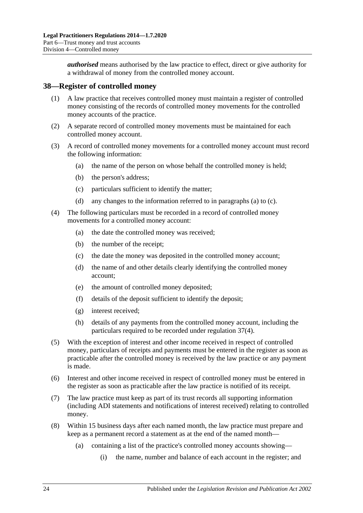*authorised* means authorised by the law practice to effect, direct or give authority for a withdrawal of money from the controlled money account.

### <span id="page-23-0"></span>**38—Register of controlled money**

- (1) A law practice that receives controlled money must maintain a register of controlled money consisting of the records of controlled money movements for the controlled money accounts of the practice.
- (2) A separate record of controlled money movements must be maintained for each controlled money account.
- <span id="page-23-1"></span>(3) A record of controlled money movements for a controlled money account must record the following information:
	- (a) the name of the person on whose behalf the controlled money is held;
	- (b) the person's address;
	- (c) particulars sufficient to identify the matter;
	- (d) any changes to the information referred to in [paragraphs](#page-23-1) (a) to [\(c\).](#page-23-2)
- <span id="page-23-2"></span>(4) The following particulars must be recorded in a record of controlled money movements for a controlled money account:
	- (a) the date the controlled money was received;
	- (b) the number of the receipt;
	- (c) the date the money was deposited in the controlled money account;
	- (d) the name of and other details clearly identifying the controlled money account;
	- (e) the amount of controlled money deposited;
	- (f) details of the deposit sufficient to identify the deposit;
	- (g) interest received;
	- (h) details of any payments from the controlled money account, including the particulars required to be recorded under [regulation](#page-22-5) 37(4).
- (5) With the exception of interest and other income received in respect of controlled money, particulars of receipts and payments must be entered in the register as soon as practicable after the controlled money is received by the law practice or any payment is made.
- (6) Interest and other income received in respect of controlled money must be entered in the register as soon as practicable after the law practice is notified of its receipt.
- (7) The law practice must keep as part of its trust records all supporting information (including ADI statements and notifications of interest received) relating to controlled money.
- (8) Within 15 business days after each named month, the law practice must prepare and keep as a permanent record a statement as at the end of the named month—
	- (a) containing a list of the practice's controlled money accounts showing—
		- (i) the name, number and balance of each account in the register; and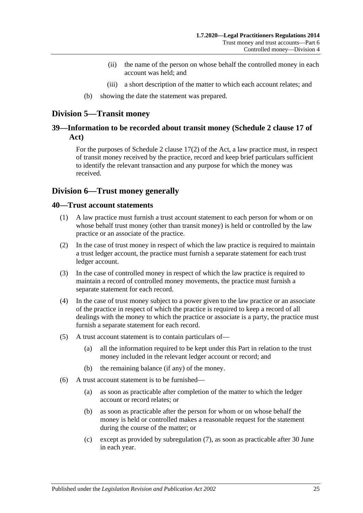- (ii) the name of the person on whose behalf the controlled money in each account was held; and
- (iii) a short description of the matter to which each account relates; and
- (b) showing the date the statement was prepared.

## <span id="page-24-0"></span>**Division 5—Transit money**

## <span id="page-24-1"></span>**39—Information to be recorded about transit money (Schedule 2 clause 17 of Act)**

For the purposes of Schedule 2 clause 17(2) of the Act, a law practice must, in respect of transit money received by the practice, record and keep brief particulars sufficient to identify the relevant transaction and any purpose for which the money was received.

## <span id="page-24-2"></span>**Division 6—Trust money generally**

#### <span id="page-24-3"></span>**40—Trust account statements**

- (1) A law practice must furnish a trust account statement to each person for whom or on whose behalf trust money (other than transit money) is held or controlled by the law practice or an associate of the practice.
- (2) In the case of trust money in respect of which the law practice is required to maintain a trust ledger account, the practice must furnish a separate statement for each trust ledger account.
- (3) In the case of controlled money in respect of which the law practice is required to maintain a record of controlled money movements, the practice must furnish a separate statement for each record.
- (4) In the case of trust money subject to a power given to the law practice or an associate of the practice in respect of which the practice is required to keep a record of all dealings with the money to which the practice or associate is a party, the practice must furnish a separate statement for each record.
- (5) A trust account statement is to contain particulars of—
	- (a) all the information required to be kept under this Part in relation to the trust money included in the relevant ledger account or record; and
	- (b) the remaining balance (if any) of the money.
- <span id="page-24-4"></span>(6) A trust account statement is to be furnished—
	- (a) as soon as practicable after completion of the matter to which the ledger account or record relates; or
	- (b) as soon as practicable after the person for whom or on whose behalf the money is held or controlled makes a reasonable request for the statement during the course of the matter; or
	- (c) except as provided by [subregulation](#page-25-2) (7), as soon as practicable after 30 June in each year.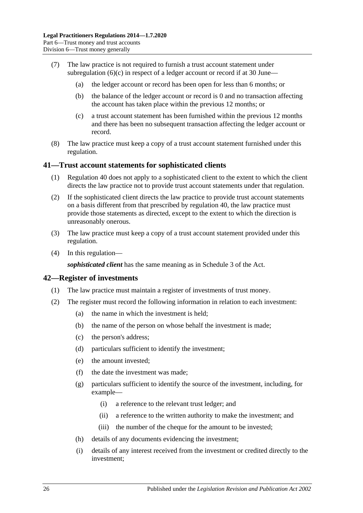- <span id="page-25-2"></span>(7) The law practice is not required to furnish a trust account statement under [subregulation](#page-24-4)  $(6)(c)$  in respect of a ledger account or record if at 30 June—
	- (a) the ledger account or record has been open for less than 6 months; or
	- (b) the balance of the ledger account or record is 0 and no transaction affecting the account has taken place within the previous 12 months; or
	- (c) a trust account statement has been furnished within the previous 12 months and there has been no subsequent transaction affecting the ledger account or record.
- (8) The law practice must keep a copy of a trust account statement furnished under this regulation.

#### <span id="page-25-0"></span>**41—Trust account statements for sophisticated clients**

- (1) [Regulation](#page-24-3) 40 does not apply to a sophisticated client to the extent to which the client directs the law practice not to provide trust account statements under that regulation.
- (2) If the sophisticated client directs the law practice to provide trust account statements on a basis different from that prescribed by [regulation](#page-24-3) 40, the law practice must provide those statements as directed, except to the extent to which the direction is unreasonably onerous.
- (3) The law practice must keep a copy of a trust account statement provided under this regulation.
- (4) In this regulation—

*sophisticated client* has the same meaning as in Schedule 3 of the Act.

#### <span id="page-25-1"></span>**42—Register of investments**

- (1) The law practice must maintain a register of investments of trust money.
- (2) The register must record the following information in relation to each investment:
	- (a) the name in which the investment is held;
	- (b) the name of the person on whose behalf the investment is made;
	- (c) the person's address;
	- (d) particulars sufficient to identify the investment;
	- (e) the amount invested;
	- (f) the date the investment was made;
	- (g) particulars sufficient to identify the source of the investment, including, for example—
		- (i) a reference to the relevant trust ledger; and
		- (ii) a reference to the written authority to make the investment; and
		- (iii) the number of the cheque for the amount to be invested;
	- (h) details of any documents evidencing the investment;
	- (i) details of any interest received from the investment or credited directly to the investment;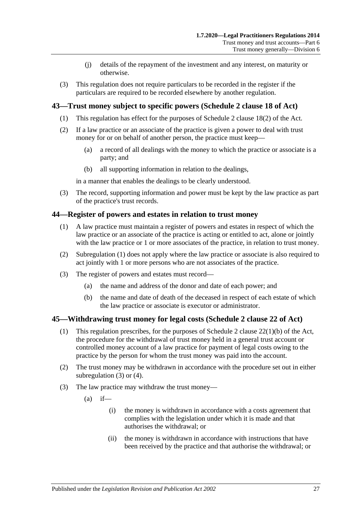- (j) details of the repayment of the investment and any interest, on maturity or otherwise.
- (3) This regulation does not require particulars to be recorded in the register if the particulars are required to be recorded elsewhere by another regulation.

## <span id="page-26-0"></span>**43—Trust money subject to specific powers (Schedule 2 clause 18 of Act)**

- (1) This regulation has effect for the purposes of Schedule 2 clause 18(2) of the Act.
- (2) If a law practice or an associate of the practice is given a power to deal with trust money for or on behalf of another person, the practice must keep—
	- (a) a record of all dealings with the money to which the practice or associate is a party; and
	- (b) all supporting information in relation to the dealings,

in a manner that enables the dealings to be clearly understood.

(3) The record, supporting information and power must be kept by the law practice as part of the practice's trust records.

#### <span id="page-26-3"></span><span id="page-26-1"></span>**44—Register of powers and estates in relation to trust money**

- (1) A law practice must maintain a register of powers and estates in respect of which the law practice or an associate of the practice is acting or entitled to act, alone or jointly with the law practice or 1 or more associates of the practice, in relation to trust money.
- (2) [Subregulation](#page-26-3) (1) does not apply where the law practice or associate is also required to act jointly with 1 or more persons who are not associates of the practice.
- (3) The register of powers and estates must record—
	- (a) the name and address of the donor and date of each power; and
	- (b) the name and date of death of the deceased in respect of each estate of which the law practice or associate is executor or administrator.

## <span id="page-26-2"></span>**45—Withdrawing trust money for legal costs (Schedule 2 clause 22 of Act)**

- (1) This regulation prescribes, for the purposes of Schedule 2 clause 22(1)(b) of the Act, the procedure for the withdrawal of trust money held in a general trust account or controlled money account of a law practice for payment of legal costs owing to the practice by the person for whom the trust money was paid into the account.
- (2) The trust money may be withdrawn in accordance with the procedure set out in either [subregulation](#page-26-4) (3) or [\(4\).](#page-27-2)
- <span id="page-26-5"></span><span id="page-26-4"></span>(3) The law practice may withdraw the trust money—
	- $(a)$  if—
		- (i) the money is withdrawn in accordance with a costs agreement that complies with the legislation under which it is made and that authorises the withdrawal; or
		- (ii) the money is withdrawn in accordance with instructions that have been received by the practice and that authorise the withdrawal; or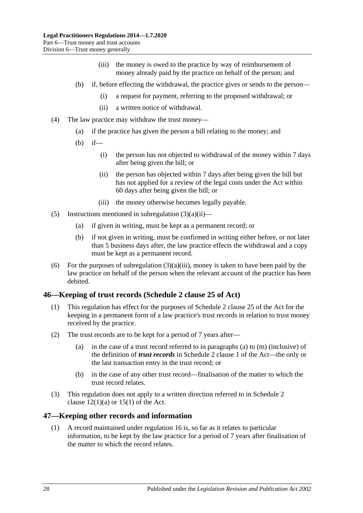- (iii) the money is owed to the practice by way of reimbursement of money already paid by the practice on behalf of the person; and
- <span id="page-27-3"></span>(b) if, before effecting the withdrawal, the practice gives or sends to the person—
	- (i) a request for payment, referring to the proposed withdrawal; or
	- (ii) a written notice of withdrawal.
- <span id="page-27-2"></span>(4) The law practice may withdraw the trust money—
	- (a) if the practice has given the person a bill relating to the money; and
	- (b) if—
		- (i) the person has not objected to withdrawal of the money within 7 days after being given the bill; or
		- (ii) the person has objected within 7 days after being given the bill but has not applied for a review of the legal costs under the Act within 60 days after being given the bill; or
		- (iii) the money otherwise becomes legally payable.
- (5) Instructions mentioned in [subregulation](#page-26-5)  $(3)(a)(ii)$ 
	- (a) if given in writing, must be kept as a permanent record; or
	- (b) if not given in writing, must be confirmed in writing either before, or not later than 5 business days after, the law practice effects the withdrawal and a copy must be kept as a permanent record.
- (6) For the purposes of [subregulation](#page-27-3)  $(3)(a)(iii)$ , money is taken to have been paid by the law practice on behalf of the person when the relevant account of the practice has been debited.

## <span id="page-27-0"></span>**46—Keeping of trust records (Schedule 2 clause 25 of Act)**

- (1) This regulation has effect for the purposes of Schedule 2 clause 25 of the Act for the keeping in a permanent form of a law practice's trust records in relation to trust money received by the practice.
- (2) The trust records are to be kept for a period of 7 years after—
	- (a) in the case of a trust record referred to in paragraphs (a) to (m) (inclusive) of the definition of *trust records* in Schedule 2 clause 1 of the Act—the only or the last transaction entry in the trust record; or
	- (b) in the case of any other trust record—finalisation of the matter to which the trust record relates.
- (3) This regulation does not apply to a written direction referred to in Schedule 2 clause  $12(1)(a)$  or  $15(1)$  of the Act.

#### <span id="page-27-1"></span>**47—Keeping other records and information**

(1) A record maintained under [regulation](#page-9-0) 16 is, so far as it relates to particular information, to be kept by the law practice for a period of 7 years after finalisation of the matter to which the record relates.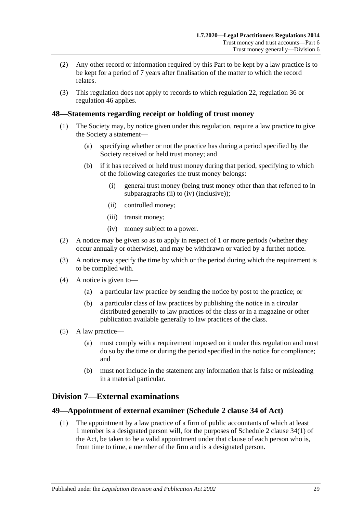- (2) Any other record or information required by this Part to be kept by a law practice is to be kept for a period of 7 years after finalisation of the matter to which the record relates.
- (3) This regulation does not apply to records to which [regulation](#page-12-0) 22, [regulation](#page-22-0) 36 or [regulation](#page-27-0) 46 applies.

## <span id="page-28-0"></span>**48—Statements regarding receipt or holding of trust money**

- (1) The Society may, by notice given under this regulation, require a law practice to give the Society a statement—
	- (a) specifying whether or not the practice has during a period specified by the Society received or held trust money; and
	- (b) if it has received or held trust money during that period, specifying to which of the following categories the trust money belongs:
		- (i) general trust money (being trust money other than that referred to in [subparagraphs](#page-28-3) (ii) to  $(iv)$  (inclusive));
		- (ii) controlled money;
		- (iii) transit money;
		- (iv) money subject to a power.
- <span id="page-28-4"></span><span id="page-28-3"></span>(2) A notice may be given so as to apply in respect of 1 or more periods (whether they occur annually or otherwise), and may be withdrawn or varied by a further notice.
- (3) A notice may specify the time by which or the period during which the requirement is to be complied with.
- (4) A notice is given to—
	- (a) a particular law practice by sending the notice by post to the practice; or
	- (b) a particular class of law practices by publishing the notice in a circular distributed generally to law practices of the class or in a magazine or other publication available generally to law practices of the class.
- (5) A law practice—
	- (a) must comply with a requirement imposed on it under this regulation and must do so by the time or during the period specified in the notice for compliance; and
	- (b) must not include in the statement any information that is false or misleading in a material particular.

## <span id="page-28-1"></span>**Division 7—External examinations**

#### <span id="page-28-5"></span><span id="page-28-2"></span>**49—Appointment of external examiner (Schedule 2 clause 34 of Act)**

(1) The appointment by a law practice of a firm of public accountants of which at least 1 member is a designated person will, for the purposes of Schedule 2 clause 34(1) of the Act, be taken to be a valid appointment under that clause of each person who is, from time to time, a member of the firm and is a designated person.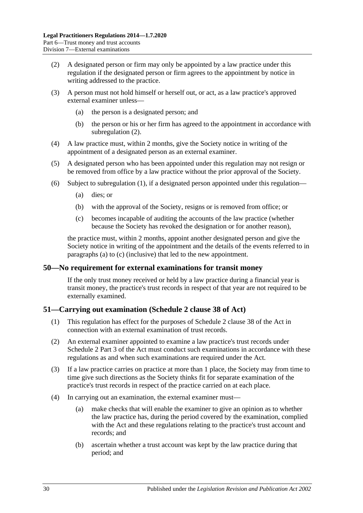- <span id="page-29-2"></span>(2) A designated person or firm may only be appointed by a law practice under this regulation if the designated person or firm agrees to the appointment by notice in writing addressed to the practice.
- (3) A person must not hold himself or herself out, or act, as a law practice's approved external examiner unless—
	- (a) the person is a designated person; and
	- (b) the person or his or her firm has agreed to the appointment in accordance with [subregulation](#page-29-2) (2).
- (4) A law practice must, within 2 months, give the Society notice in writing of the appointment of a designated person as an external examiner.
- (5) A designated person who has been appointed under this regulation may not resign or be removed from office by a law practice without the prior approval of the Society.
- <span id="page-29-4"></span><span id="page-29-3"></span>(6) Subject to [subregulation](#page-28-5) (1), if a designated person appointed under this regulation—
	- (a) dies; or
	- (b) with the approval of the Society, resigns or is removed from office; or
	- (c) becomes incapable of auditing the accounts of the law practice (whether because the Society has revoked the designation or for another reason),

the practice must, within 2 months, appoint another designated person and give the Society notice in writing of the appointment and the details of the events referred to in [paragraphs](#page-29-3) (a) to [\(c\)](#page-29-4) (inclusive) that led to the new appointment.

#### <span id="page-29-0"></span>**50—No requirement for external examinations for transit money**

If the only trust money received or held by a law practice during a financial year is transit money, the practice's trust records in respect of that year are not required to be externally examined.

#### <span id="page-29-1"></span>**51—Carrying out examination (Schedule 2 clause 38 of Act)**

- (1) This regulation has effect for the purposes of Schedule 2 clause 38 of the Act in connection with an external examination of trust records.
- (2) An external examiner appointed to examine a law practice's trust records under Schedule 2 Part 3 of the Act must conduct such examinations in accordance with these regulations as and when such examinations are required under the Act.
- (3) If a law practice carries on practice at more than 1 place, the Society may from time to time give such directions as the Society thinks fit for separate examination of the practice's trust records in respect of the practice carried on at each place.
- <span id="page-29-5"></span>(4) In carrying out an examination, the external examiner must—
	- (a) make checks that will enable the examiner to give an opinion as to whether the law practice has, during the period covered by the examination, complied with the Act and these regulations relating to the practice's trust account and records; and
	- (b) ascertain whether a trust account was kept by the law practice during that period; and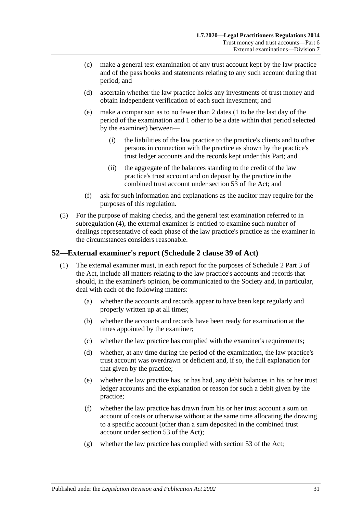- (c) make a general test examination of any trust account kept by the law practice and of the pass books and statements relating to any such account during that period; and
- <span id="page-30-1"></span>(d) ascertain whether the law practice holds any investments of trust money and obtain independent verification of each such investment; and
- (e) make a comparison as to no fewer than 2 dates (1 to be the last day of the period of the examination and 1 other to be a date within that period selected by the examiner) between—
	- (i) the liabilities of the law practice to the practice's clients and to other persons in connection with the practice as shown by the practice's trust ledger accounts and the records kept under this Part; and
	- (ii) the aggregate of the balances standing to the credit of the law practice's trust account and on deposit by the practice in the combined trust account under section 53 of the Act; and
- (f) ask for such information and explanations as the auditor may require for the purposes of this regulation.
- (5) For the purpose of making checks, and the general test examination referred to in [subregulation](#page-29-5) (4), the external examiner is entitled to examine such number of dealings representative of each phase of the law practice's practice as the examiner in the circumstances considers reasonable.

## <span id="page-30-0"></span>**52—External examiner's report (Schedule 2 clause 39 of Act)**

- (1) The external examiner must, in each report for the purposes of Schedule 2 Part 3 of the Act, include all matters relating to the law practice's accounts and records that should, in the examiner's opinion, be communicated to the Society and, in particular, deal with each of the following matters:
	- (a) whether the accounts and records appear to have been kept regularly and properly written up at all times;
	- (b) whether the accounts and records have been ready for examination at the times appointed by the examiner;
	- (c) whether the law practice has complied with the examiner's requirements;
	- (d) whether, at any time during the period of the examination, the law practice's trust account was overdrawn or deficient and, if so, the full explanation for that given by the practice;
	- (e) whether the law practice has, or has had, any debit balances in his or her trust ledger accounts and the explanation or reason for such a debit given by the practice;
	- (f) whether the law practice has drawn from his or her trust account a sum on account of costs or otherwise without at the same time allocating the drawing to a specific account (other than a sum deposited in the combined trust account under section 53 of the Act);
	- (g) whether the law practice has complied with section 53 of the Act;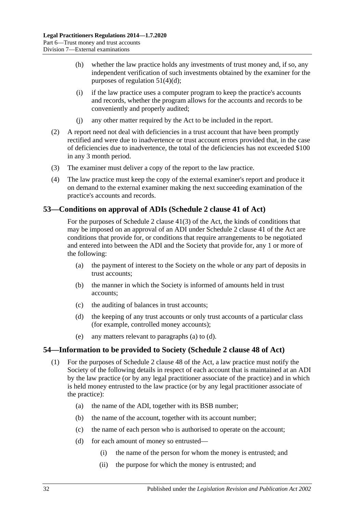- (h) whether the law practice holds any investments of trust money and, if so, any independent verification of such investments obtained by the examiner for the purposes of [regulation](#page-30-1) 51(4)(d);
- (i) if the law practice uses a computer program to keep the practice's accounts and records, whether the program allows for the accounts and records to be conveniently and properly audited;
- (j) any other matter required by the Act to be included in the report.
- (2) A report need not deal with deficiencies in a trust account that have been promptly rectified and were due to inadvertence or trust account errors provided that, in the case of deficiencies due to inadvertence, the total of the deficiencies has not exceeded \$100 in any 3 month period.
- (3) The examiner must deliver a copy of the report to the law practice.
- (4) The law practice must keep the copy of the external examiner's report and produce it on demand to the external examiner making the next succeeding examination of the practice's accounts and records.

## <span id="page-31-0"></span>**53—Conditions on approval of ADIs (Schedule 2 clause 41 of Act)**

For the purposes of Schedule 2 clause 41(3) of the Act, the kinds of conditions that may be imposed on an approval of an ADI under Schedule 2 clause 41 of the Act are conditions that provide for, or conditions that require arrangements to be negotiated and entered into between the ADI and the Society that provide for, any 1 or more of the following:

- <span id="page-31-2"></span>(a) the payment of interest to the Society on the whole or any part of deposits in trust accounts;
- (b) the manner in which the Society is informed of amounts held in trust accounts;
- (c) the auditing of balances in trust accounts;
- <span id="page-31-3"></span>(d) the keeping of any trust accounts or only trust accounts of a particular class (for example, controlled money accounts);
- (e) any matters relevant to [paragraphs](#page-31-2) (a) to [\(d\).](#page-31-3)

## <span id="page-31-4"></span><span id="page-31-1"></span>**54—Information to be provided to Society (Schedule 2 clause 48 of Act)**

- (1) For the purposes of Schedule 2 clause 48 of the Act, a law practice must notify the Society of the following details in respect of each account that is maintained at an ADI by the law practice (or by any legal practitioner associate of the practice) and in which is held money entrusted to the law practice (or by any legal practitioner associate of the practice):
	- (a) the name of the ADI, together with its BSB number;
	- (b) the name of the account, together with its account number;
	- (c) the name of each person who is authorised to operate on the account;
	- (d) for each amount of money so entrusted—
		- (i) the name of the person for whom the money is entrusted; and
		- (ii) the purpose for which the money is entrusted; and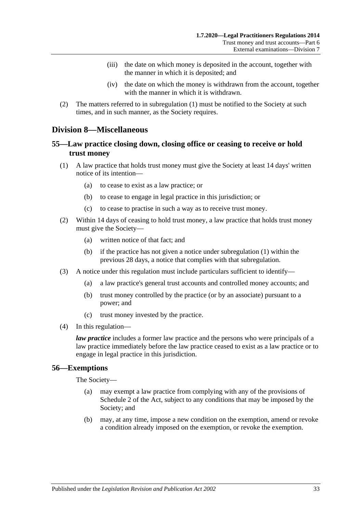- (iii) the date on which money is deposited in the account, together with the manner in which it is deposited; and
- (iv) the date on which the money is withdrawn from the account, together with the manner in which it is withdrawn.
- (2) The matters referred to in [subregulation](#page-31-4) (1) must be notified to the Society at such times, and in such manner, as the Society requires.

## <span id="page-32-0"></span>**Division 8—Miscellaneous**

## <span id="page-32-1"></span>**55—Law practice closing down, closing office or ceasing to receive or hold trust money**

- <span id="page-32-3"></span>(1) A law practice that holds trust money must give the Society at least 14 days' written notice of its intention—
	- (a) to cease to exist as a law practice; or
	- (b) to cease to engage in legal practice in this jurisdiction; or
	- (c) to cease to practise in such a way as to receive trust money.
- (2) Within 14 days of ceasing to hold trust money, a law practice that holds trust money must give the Society—
	- (a) written notice of that fact; and
	- (b) if the practice has not given a notice under [subregulation](#page-32-3) (1) within the previous 28 days, a notice that complies with that subregulation.
- (3) A notice under this regulation must include particulars sufficient to identify—
	- (a) a law practice's general trust accounts and controlled money accounts; and
	- (b) trust money controlled by the practice (or by an associate) pursuant to a power; and
	- (c) trust money invested by the practice.
- (4) In this regulation—

*law practice* includes a former law practice and the persons who were principals of a law practice immediately before the law practice ceased to exist as a law practice or to engage in legal practice in this jurisdiction.

#### <span id="page-32-2"></span>**56—Exemptions**

The Society—

- (a) may exempt a law practice from complying with any of the provisions of Schedule 2 of the Act, subject to any conditions that may be imposed by the Society; and
- (b) may, at any time, impose a new condition on the exemption, amend or revoke a condition already imposed on the exemption, or revoke the exemption.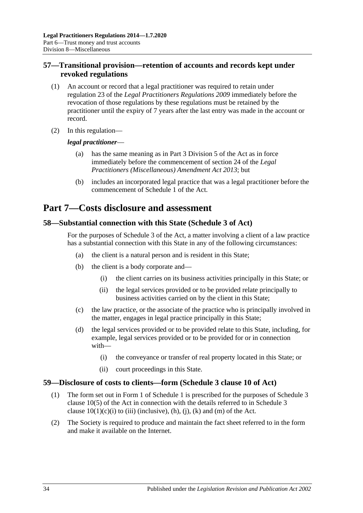## <span id="page-33-0"></span>**57—Transitional provision—retention of accounts and records kept under revoked regulations**

- (1) An account or record that a legal practitioner was required to retain under regulation 23 of the *[Legal Practitioners Regulations](http://www.legislation.sa.gov.au/index.aspx?action=legref&type=subordleg&legtitle=Legal%20Practitioners%20Regulations%202009) 2009* immediately before the revocation of those regulations by these regulations must be retained by the practitioner until the expiry of 7 years after the last entry was made in the account or record.
- (2) In this regulation—

#### *legal practitioner*—

- (a) has the same meaning as in Part 3 Division 5 of the Act as in force immediately before the commencement of section 24 of the *[Legal](http://www.legislation.sa.gov.au/index.aspx?action=legref&type=act&legtitle=Legal%20Practitioners%20(Miscellaneous)%20Amendment%20Act%202013)  [Practitioners \(Miscellaneous\) Amendment Act](http://www.legislation.sa.gov.au/index.aspx?action=legref&type=act&legtitle=Legal%20Practitioners%20(Miscellaneous)%20Amendment%20Act%202013) 2013*; but
- (b) includes an incorporated legal practice that was a legal practitioner before the commencement of Schedule 1 of the Act.

# <span id="page-33-1"></span>**Part 7—Costs disclosure and assessment**

## <span id="page-33-2"></span>**58—Substantial connection with this State (Schedule 3 of Act)**

For the purposes of Schedule 3 of the Act, a matter involving a client of a law practice has a substantial connection with this State in any of the following circumstances:

- (a) the client is a natural person and is resident in this State;
- (b) the client is a body corporate and—
	- (i) the client carries on its business activities principally in this State; or
	- (ii) the legal services provided or to be provided relate principally to business activities carried on by the client in this State;
- (c) the law practice, or the associate of the practice who is principally involved in the matter, engages in legal practice principally in this State;
- (d) the legal services provided or to be provided relate to this State, including, for example, legal services provided or to be provided for or in connection with—
	- (i) the conveyance or transfer of real property located in this State; or
	- (ii) court proceedings in this State.

## <span id="page-33-3"></span>**59—Disclosure of costs to clients—form (Schedule 3 clause 10 of Act)**

- (1) The form set out in Form 1 of [Schedule](#page-36-3) 1 is prescribed for the purposes of Schedule 3 clause 10(5) of the Act in connection with the details referred to in Schedule 3 clause  $10(1)(c)(i)$  to (iii) (inclusive), (h), (j), (k) and (m) of the Act.
- (2) The Society is required to produce and maintain the fact sheet referred to in the form and make it available on the Internet.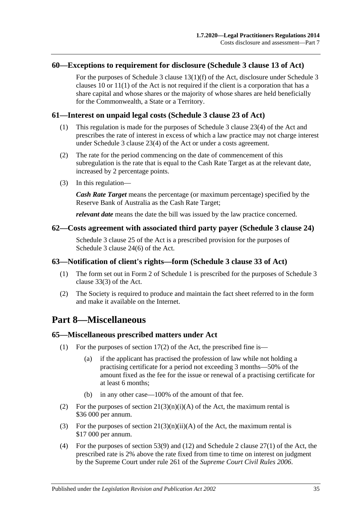## <span id="page-34-0"></span>**60—Exceptions to requirement for disclosure (Schedule 3 clause 13 of Act)**

For the purposes of Schedule 3 clause 13(1)(f) of the Act, disclosure under Schedule 3 clauses 10 or 11(1) of the Act is not required if the client is a corporation that has a share capital and whose shares or the majority of whose shares are held beneficially for the Commonwealth, a State or a Territory.

#### <span id="page-34-1"></span>**61—Interest on unpaid legal costs (Schedule 3 clause 23 of Act)**

- (1) This regulation is made for the purposes of Schedule 3 clause 23(4) of the Act and prescribes the rate of interest in excess of which a law practice may not charge interest under Schedule 3 clause 23(4) of the Act or under a costs agreement.
- (2) The rate for the period commencing on the date of commencement of this subregulation is the rate that is equal to the Cash Rate Target as at the relevant date, increased by 2 percentage points.
- (3) In this regulation—

*Cash Rate Target* means the percentage (or maximum percentage) specified by the Reserve Bank of Australia as the Cash Rate Target;

*relevant date* means the date the bill was issued by the law practice concerned.

#### <span id="page-34-2"></span>**62—Costs agreement with associated third party payer (Schedule 3 clause 24)**

Schedule 3 clause 25 of the Act is a prescribed provision for the purposes of Schedule 3 clause 24(6) of the Act.

## <span id="page-34-3"></span>**63—Notification of client's rights—form (Schedule 3 clause 33 of Act)**

- (1) The form set out in Form 2 of [Schedule](#page-36-3) 1 is prescribed for the purposes of Schedule 3 clause 33(3) of the Act.
- (2) The Society is required to produce and maintain the fact sheet referred to in the form and make it available on the Internet.

# <span id="page-34-4"></span>**Part 8—Miscellaneous**

#### <span id="page-34-5"></span>**65—Miscellaneous prescribed matters under Act**

- (1) For the purposes of section 17(2) of the Act, the prescribed fine is—
	- (a) if the applicant has practised the profession of law while not holding a practising certificate for a period not exceeding 3 months—50% of the amount fixed as the fee for the issue or renewal of a practising certificate for at least 6 months;
	- (b) in any other case—100% of the amount of that fee.
- (2) For the purposes of section  $21(3)(n)(i)(A)$  of the Act, the maximum rental is \$36 000 per annum.
- (3) For the purposes of section  $21(3)(n)(ii)(A)$  of the Act, the maximum rental is \$17 000 per annum.
- (4) For the purposes of section 53(9) and (12) and Schedule 2 clause 27(1) of the Act, the prescribed rate is 2% above the rate fixed from time to time on interest on judgment by the Supreme Court under rule 261 of the *Supreme Court Civil Rules 2006*.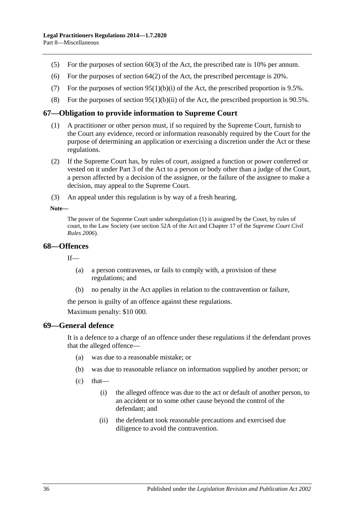- (5) For the purposes of section 60(3) of the Act, the prescribed rate is 10% per annum.
- (6) For the purposes of section 64(2) of the Act, the prescribed percentage is 20%.
- (7) For the purposes of section  $95(1)(b)(i)$  of the Act, the prescribed proportion is 9.5%.
- (8) For the purposes of section  $95(1)(b)(ii)$  of the Act, the prescribed proportion is  $90.5\%$ .

#### <span id="page-35-3"></span><span id="page-35-0"></span>**67—Obligation to provide information to Supreme Court**

- (1) A practitioner or other person must, if so required by the Supreme Court, furnish to the Court any evidence, record or information reasonably required by the Court for the purpose of determining an application or exercising a discretion under the Act or these regulations.
- (2) If the Supreme Court has, by rules of court, assigned a function or power conferred or vested on it under Part 3 of the Act to a person or body other than a judge of the Court, a person affected by a decision of the assignee, or the failure of the assignee to make a decision, may appeal to the Supreme Court.
- (3) An appeal under this regulation is by way of a fresh hearing.

**Note—**

The power of the Supreme Court under [subregulation](#page-35-3) (1) is assigned by the Court, by rules of court, to the Law Society (see section 52A of the Act and Chapter 17 of the *Supreme Court Civil Rules 2006*).

#### <span id="page-35-1"></span>**68—Offences**

 $If$ <sub>—</sub>

- (a) a person contravenes, or fails to comply with, a provision of these regulations; and
- (b) no penalty in the Act applies in relation to the contravention or failure,

the person is guilty of an offence against these regulations.

Maximum penalty: \$10 000.

#### <span id="page-35-2"></span>**69—General defence**

It is a defence to a charge of an offence under these regulations if the defendant proves that the alleged offence—

- (a) was due to a reasonable mistake; or
- (b) was due to reasonable reliance on information supplied by another person; or
- $(c)$  that
	- (i) the alleged offence was due to the act or default of another person, to an accident or to some other cause beyond the control of the defendant; and
	- (ii) the defendant took reasonable precautions and exercised due diligence to avoid the contravention.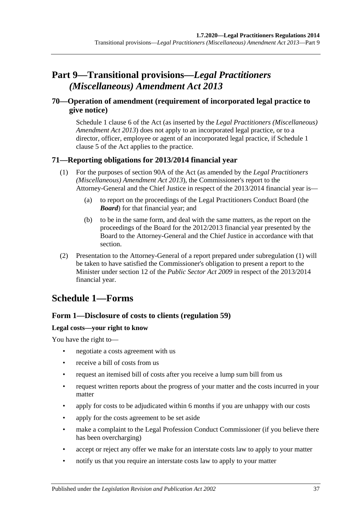# <span id="page-36-0"></span>**Part 9—Transitional provisions—***Legal Practitioners (Miscellaneous) Amendment Act 2013*

## <span id="page-36-1"></span>**70—Operation of amendment (requirement of incorporated legal practice to give notice)**

Schedule 1 clause 6 of the Act (as inserted by the *[Legal Practitioners \(Miscellaneous\)](http://www.legislation.sa.gov.au/index.aspx?action=legref&type=act&legtitle=Legal%20Practitioners%20(Miscellaneous)%20Amendment%20Act%202013)  [Amendment Act](http://www.legislation.sa.gov.au/index.aspx?action=legref&type=act&legtitle=Legal%20Practitioners%20(Miscellaneous)%20Amendment%20Act%202013) 2013*) does not apply to an incorporated legal practice, or to a director, officer, employee or agent of an incorporated legal practice, if Schedule 1 clause 5 of the Act applies to the practice.

## <span id="page-36-4"></span><span id="page-36-2"></span>**71—Reporting obligations for 2013/2014 financial year**

- (1) For the purposes of section 90A of the Act (as amended by the *[Legal Practitioners](http://www.legislation.sa.gov.au/index.aspx?action=legref&type=act&legtitle=Legal%20Practitioners%20(Miscellaneous)%20Amendment%20Act%202013)  [\(Miscellaneous\) Amendment Act](http://www.legislation.sa.gov.au/index.aspx?action=legref&type=act&legtitle=Legal%20Practitioners%20(Miscellaneous)%20Amendment%20Act%202013) 2013*), the Commissioner's report to the Attorney-General and the Chief Justice in respect of the 2013/2014 financial year is—
	- (a) to report on the proceedings of the Legal Practitioners Conduct Board (the *Board*) for that financial year; and
	- (b) to be in the same form, and deal with the same matters, as the report on the proceedings of the Board for the 2012/2013 financial year presented by the Board to the Attorney-General and the Chief Justice in accordance with that section.
- (2) Presentation to the Attorney-General of a report prepared under [subregulation](#page-36-4) (1) will be taken to have satisfied the Commissioner's obligation to present a report to the Minister under section 12 of the *[Public Sector Act](http://www.legislation.sa.gov.au/index.aspx?action=legref&type=act&legtitle=Public%20Sector%20Act%202009) 2009* in respect of the 2013/2014 financial year.

# <span id="page-36-3"></span>**Schedule 1—Forms**

## **Form 1—Disclosure of costs to clients [\(regulation](#page-33-3) 59)**

#### **Legal costs—your right to know**

You have the right to—

- negotiate a costs agreement with us
- receive a bill of costs from us
- request an itemised bill of costs after you receive a lump sum bill from us
- request written reports about the progress of your matter and the costs incurred in your matter
- apply for costs to be adjudicated within 6 months if you are unhappy with our costs
- apply for the costs agreement to be set aside
- make a complaint to the Legal Profession Conduct Commissioner (if you believe there has been overcharging)
- accept or reject any offer we make for an interstate costs law to apply to your matter
- notify us that you require an interstate costs law to apply to your matter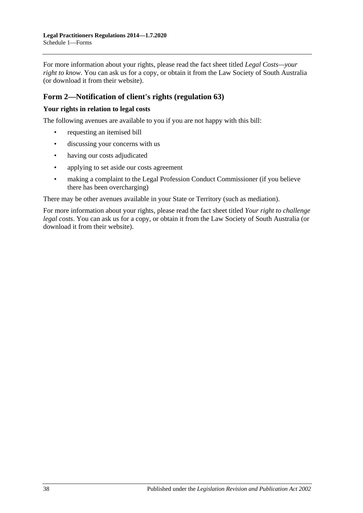For more information about your rights, please read the fact sheet titled *Legal Costs—your right to know*. You can ask us for a copy, or obtain it from the Law Society of South Australia (or download it from their website).

## **Form 2—Notification of client's rights [\(regulation](#page-34-3) 63)**

#### **Your rights in relation to legal costs**

The following avenues are available to you if you are not happy with this bill:

- requesting an itemised bill
- discussing your concerns with us
- having our costs adjudicated
- applying to set aside our costs agreement
- making a complaint to the Legal Profession Conduct Commissioner (if you believe there has been overcharging)

There may be other avenues available in your State or Territory (such as mediation).

For more information about your rights, please read the fact sheet titled *Your right to challenge legal costs*. You can ask us for a copy, or obtain it from the Law Society of South Australia (or download it from their website).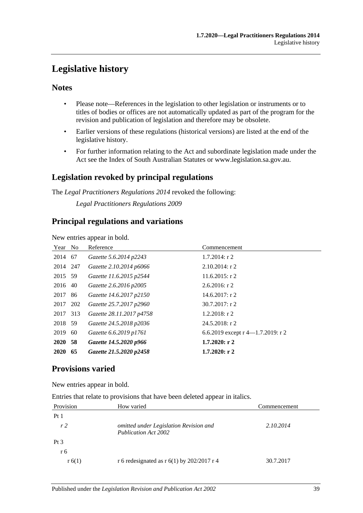# <span id="page-38-0"></span>**Legislative history**

## **Notes**

- Please note—References in the legislation to other legislation or instruments or to titles of bodies or offices are not automatically updated as part of the program for the revision and publication of legislation and therefore may be obsolete.
- Earlier versions of these regulations (historical versions) are listed at the end of the legislative history.
- For further information relating to the Act and subordinate legislation made under the Act see the Index of South Australian Statutes or www.legislation.sa.gov.au.

## **Legislation revoked by principal regulations**

The *Legal Practitioners Regulations 2014* revoked the following:

*Legal Practitioners Regulations 2009*

## **Principal regulations and variations**

New entries appear in bold.

| Year No  |    | Reference                | Commencement                         |
|----------|----|--------------------------|--------------------------------------|
| 2014 67  |    | Gazette 5.6.2014 p2243   | $1.7.2014$ : r 2                     |
| 2014 247 |    | Gazette 2.10.2014 p6066  | $2.10.2014$ : r 2                    |
| 2015 59  |    | Gazette 11.6.2015 p2544  | $11.6.2015$ : r 2                    |
| 2016 40  |    | Gazette 2.6.2016 p2005   | $2.6.2016$ : r 2                     |
| 2017     | 86 | Gazette 14.6.2017 p2150  | 14.6.2017: r2                        |
| 2017 202 |    | Gazette 25.7.2017 p2960  | $30.7.2017$ : r 2                    |
| 2017 313 |    | Gazette 28.11.2017 p4758 | $1.2.2018$ : r 2                     |
| 2018 59  |    | Gazette 24.5.2018 p2036  | $24.5.2018$ : r 2                    |
| 2019     | 60 | Gazette 6.6.2019 p1761   | 6.6.2019 except r $4$ —1.7.2019: r 2 |
| 2020 58  |    | Gazette 14.5.2020 p966   | 1.7.2020: r2                         |
| 2020     | 65 | Gazette 21.5.2020 p2458  | $1.7.2020:$ r 2                      |

## **Provisions varied**

New entries appear in bold.

Entries that relate to provisions that have been deleted appear in italics.

| Provision       | How varied                                                            | Commencement |
|-----------------|-----------------------------------------------------------------------|--------------|
| Pt1             |                                                                       |              |
| r <sub>2</sub>  | omitted under Legislation Revision and<br><b>Publication Act 2002</b> | 2.10.2014    |
| Pt <sub>3</sub> |                                                                       |              |
| r 6             |                                                                       |              |
| r(6(1))         | r 6 redesignated as r 6(1) by $202/2017$ r 4                          | 30.7.2017    |